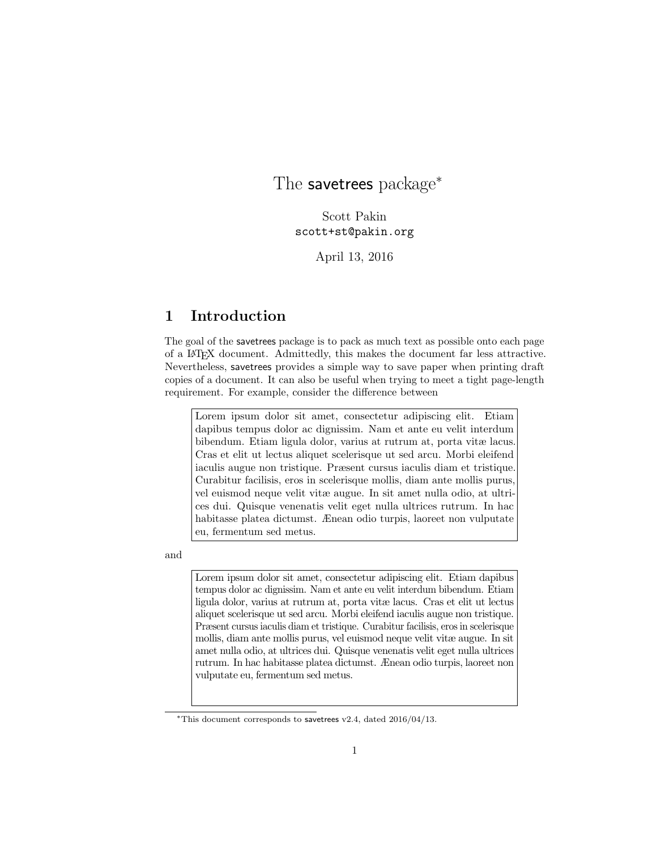# <span id="page-0-0"></span>The savetrees package<sup>\*</sup>

Scott Pakin scott+st@pakin.org

April 13, 2016

### 1 Introduction

The goal of the savetrees package is to pack as much text as possible onto each page of a LATEX document. Admittedly, this makes the document far less attractive. Nevertheless, savetrees provides a simple way to save paper when printing draft copies of a document. It can also be useful when trying to meet a tight page-length requirement. For example, consider the difference between

Lorem ipsum dolor sit amet, consectetur adipiscing elit. Etiam dapibus tempus dolor ac dignissim. Nam et ante eu velit interdum bibendum. Etiam ligula dolor, varius at rutrum at, porta vitæ lacus. Cras et elit ut lectus aliquet scelerisque ut sed arcu. Morbi eleifend iaculis augue non tristique. Præsent cursus iaculis diam et tristique. Curabitur facilisis, eros in scelerisque mollis, diam ante mollis purus, vel euismod neque velit vitæ augue. In sit amet nulla odio, at ultrices dui. Quisque venenatis velit eget nulla ultrices rutrum. In hac habitasse platea dictumst. Ænean odio turpis, laoreet non vulputate eu, fermentum sed metus.

and

Lorem ipsum dolor sit amet, consectetur adipiscing elit. Etiam dapibus tempus dolor ac dignissim. Nam et ante eu velit interdum bibendum. Etiam ligula dolor, varius at rutrum at, porta vitæ lacus. Cras et elit ut lectus aliquet scelerisque ut sed arcu. Morbi eleifend iaculis augue non tristique. Præsent cursus iaculis diam et tristique. Curabitur facilisis, eros in scelerisque mollis, diam ante mollis purus, vel euismod neque velit vitæ augue. In sit amet nulla odio, at ultrices dui. Quisque venenatis velit eget nulla ultrices rutrum. In hac habitasse platea dictumst. Ænean odio turpis, laoreet non vulputate eu, fermentum sed metus.

<sup>∗</sup>This document corresponds to savetrees v2.4, dated 2016/04/13.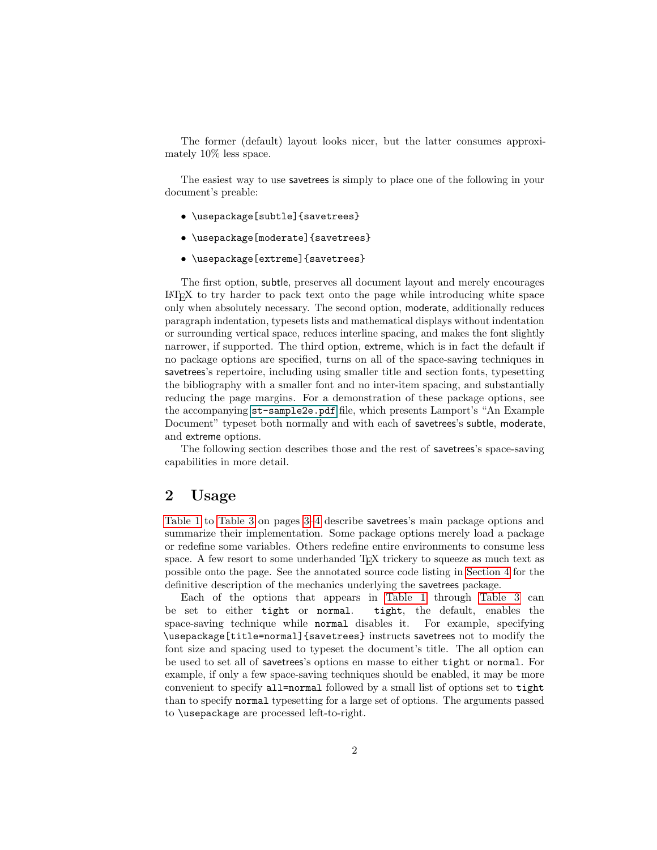The former (default) layout looks nicer, but the latter consumes approximately 10% less space.

The easiest way to use savetrees is simply to place one of the following in your document's preable:

- \usepackage[subtle]{savetrees}
- \usepackage[moderate]{savetrees}
- \usepackage[extreme]{savetrees}

The first option, subtle, preserves all document layout and merely encourages LATEX to try harder to pack text onto the page while introducing white space only when absolutely necessary. The second option, moderate, additionally reduces paragraph indentation, typesets lists and mathematical displays without indentation or surrounding vertical space, reduces interline spacing, and makes the font slightly narrower, if supported. The third option, extreme, which is in fact the default if no package options are specified, turns on all of the space-saving techniques in savetrees's repertoire, including using smaller title and section fonts, typesetting the bibliography with a smaller font and no inter-item spacing, and substantially reducing the page margins. For a demonstration of these package options, see the accompanying [st-sample2e.pdf](#page-0-0) file, which presents Lamport's "An Example Document" typeset both normally and with each of savetrees's subtle, moderate, and extreme options.

The following section describes those and the rest of savetrees's space-saving capabilities in more detail.

### 2 Usage

[Table 1](#page-2-0) to [Table 3](#page-3-0) on pages [3–](#page-2-0)[4](#page-3-0) describe savetrees's main package options and summarize their implementation. Some package options merely load a package or redefine some variables. Others redefine entire environments to consume less space. A few resort to some underhanded T<sub>EX</sub> trickery to squeeze as much text as possible onto the page. See the annotated source code listing in [Section 4](#page-6-0) for the definitive description of the mechanics underlying the savetrees package.

Each of the options that appears in [Table 1](#page-2-0) through [Table 3](#page-3-0) can be set to either tight or normal. tight, the default, enables the space-saving technique while normal disables it. For example, specifying \usepackage[title=normal]{savetrees} instructs savetrees not to modify the font size and spacing used to typeset the document's title. The all option can be used to set all of savetrees's options en masse to either tight or normal. For example, if only a few space-saving techniques should be enabled, it may be more convenient to specify all=normal followed by a small list of options set to tight than to specify normal typesetting for a large set of options. The arguments passed to \usepackage are processed left-to-right.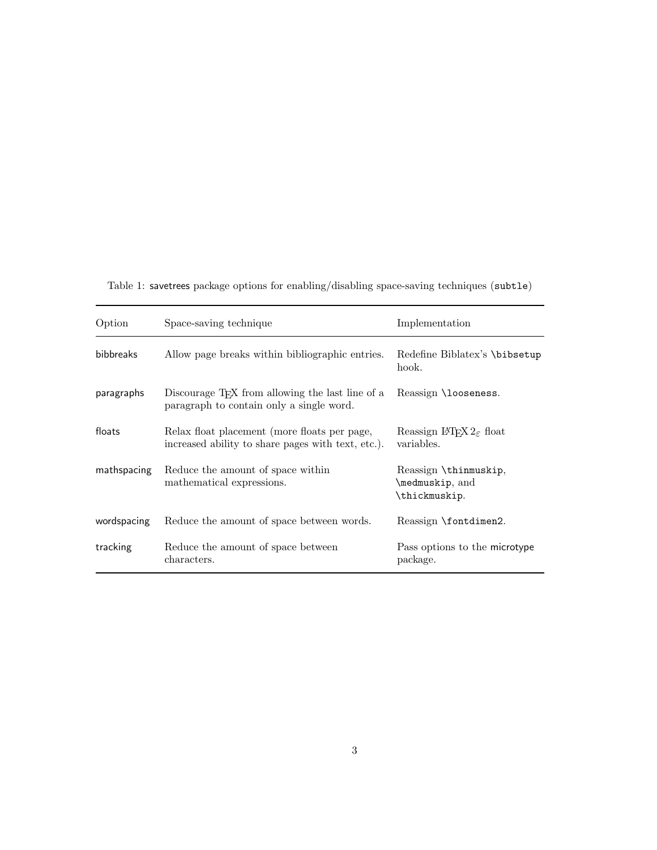| Option           | Space-saving technique                                                                                   | Implementation                                            |
|------------------|----------------------------------------------------------------------------------------------------------|-----------------------------------------------------------|
| <b>bibbreaks</b> | Allow page breaks within bibliographic entries.                                                          | Redefine Biblatex's \bibsetup<br>hook.                    |
| paragraphs       | Discourage T <sub>F</sub> X from allowing the last line of a<br>paragraph to contain only a single word. | Reassign \looseness.                                      |
| floats           | Relax float placement (more floats per page,<br>increased ability to share pages with text, etc.).       | Reassign $\text{LTr} X 2_{\epsilon}$ float<br>variables.  |
| mathspacing      | Reduce the amount of space within<br>mathematical expressions.                                           | Reassign \thinmuskip,<br>\medmuskip, and<br>\thickmuskip. |
| wordspacing      | Reduce the amount of space between words.                                                                | Reassign \fontdimen2.                                     |
| tracking         | Reduce the amount of space between<br>characters.                                                        | Pass options to the microtype<br>package.                 |

<span id="page-2-0"></span>Table 1: savetrees package options for enabling/disabling space-saving techniques (subtle)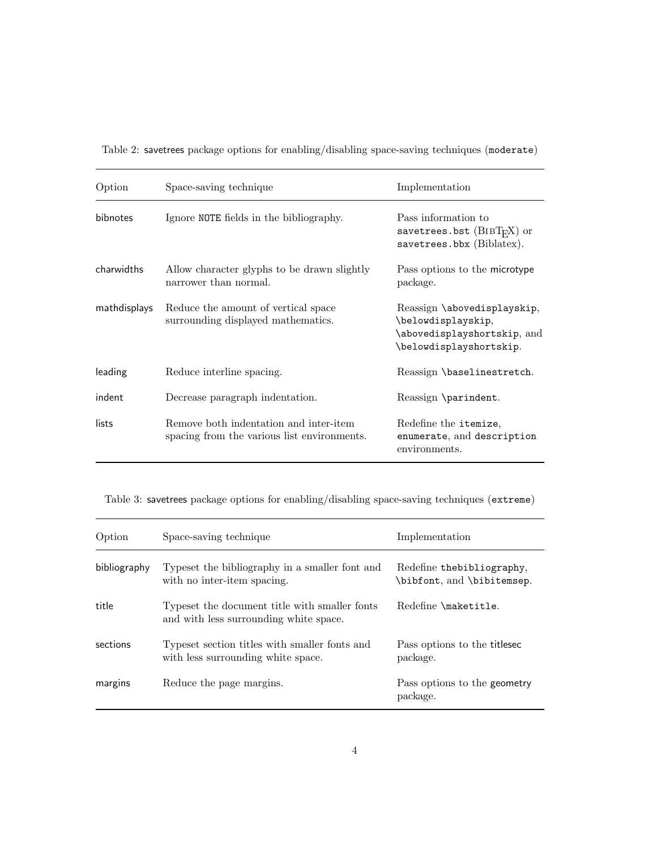| Option          | Space-saving technique                                                                | Implementation                                                                                              |
|-----------------|---------------------------------------------------------------------------------------|-------------------------------------------------------------------------------------------------------------|
| <b>bibnotes</b> | Ignore NOTE fields in the bibliography.                                               | Pass information to<br>savetrees.bst $(BIBTFX)$ or<br>savetrees.bbx (Biblatex).                             |
| charwidths      | Allow character glyphs to be drawn slightly<br>narrower than normal.                  | Pass options to the microtype<br>package.                                                                   |
| mathdisplays    | Reduce the amount of vertical space<br>surrounding displayed mathematics.             | Reassign \abovedisplayskip,<br>\belowdisplayskip,<br>\abovedisplayshortskip, and<br>\belowdisplayshortskip. |
| leading         | Reduce interline spacing.                                                             | Reassign \baselinestretch.                                                                                  |
| indent          | Decrease paragraph indentation.                                                       | Reassign \parindent.                                                                                        |
| lists           | Remove both indentation and inter-item<br>spacing from the various list environments. | Redefine the itemize,<br>enumerate, and description<br>environments.                                        |

<span id="page-3-1"></span>Table 2: savetrees package options for enabling/disabling space-saving techniques (moderate)

<span id="page-3-0"></span>Table 3: savetrees package options for enabling/disabling space-saving techniques (extreme)

| Option       | Space-saving technique                                                                  | Implementation                                           |
|--------------|-----------------------------------------------------------------------------------------|----------------------------------------------------------|
| bibliography | Typeset the bibliography in a smaller font and<br>with no inter-item spacing.           | Redefine the bibliography,<br>\bibfont, and \bibitemsep. |
| title        | Typeset the document title with smaller fonts<br>and with less surrounding white space. | Redefine \maketitle.                                     |
| sections     | Typeset section titles with smaller fonts and<br>with less surrounding white space.     | Pass options to the titlesec<br>package.                 |
| margins      | Reduce the page margins.                                                                | Pass options to the geometry<br>package.                 |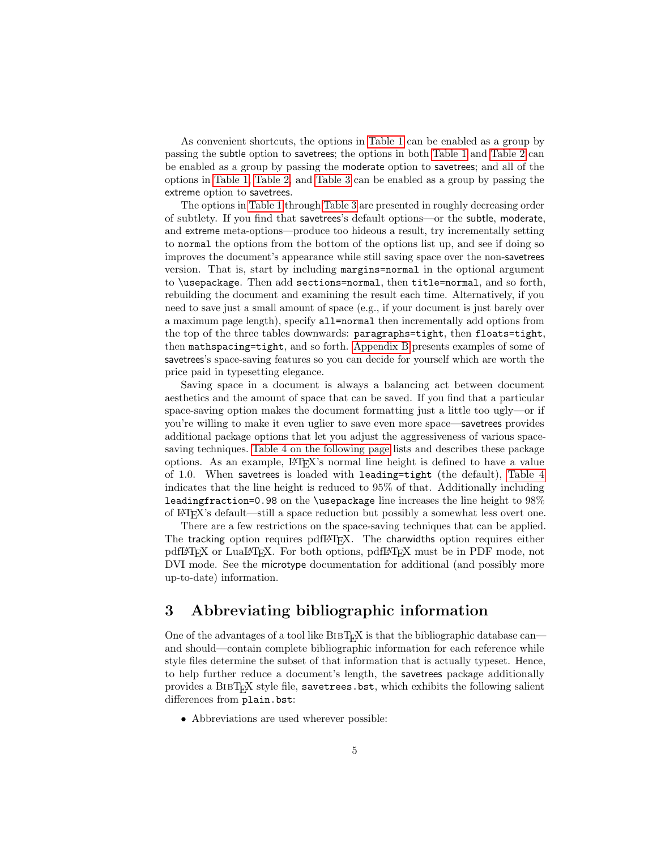As convenient shortcuts, the options in [Table 1](#page-2-0) can be enabled as a group by passing the subtle option to savetrees; the options in both [Table 1](#page-2-0) and [Table 2](#page-3-1) can be enabled as a group by passing the moderate option to savetrees; and all of the options in [Table 1,](#page-2-0) [Table 2,](#page-3-1) and [Table 3](#page-3-0) can be enabled as a group by passing the extreme option to savetrees.

The options in [Table 1](#page-2-0) through [Table 3](#page-3-0) are presented in roughly decreasing order of subtlety. If you find that savetrees's default options—or the subtle, moderate, and extreme meta-options—produce too hideous a result, try incrementally setting to normal the options from the bottom of the options list up, and see if doing so improves the document's appearance while still saving space over the non-savetrees version. That is, start by including margins=normal in the optional argument to \usepackage. Then add sections=normal, then title=normal, and so forth, rebuilding the document and examining the result each time. Alternatively, if you need to save just a small amount of space (e.g., if your document is just barely over a maximum page length), specify all=normal then incrementally add options from the top of the three tables downwards: paragraphs=tight, then floats=tight, then mathspacing=tight, and so forth. [Appendix B](#page-25-0) presents examples of some of savetrees's space-saving features so you can decide for yourself which are worth the price paid in typesetting elegance.

Saving space in a document is always a balancing act between document aesthetics and the amount of space that can be saved. If you find that a particular space-saving option makes the document formatting just a little too ugly—or if you're willing to make it even uglier to save even more space—savetrees provides additional package options that let you adjust the aggressiveness of various spacesaving techniques. [Table 4 on the following page](#page-5-0) lists and describes these package options. As an example,  $\mathbb{F}T_F X$ 's normal line height is defined to have a value of 1.0. When savetrees is loaded with leading=tight (the default), [Table 4](#page-5-0) indicates that the line height is reduced to 95% of that. Additionally including leadingfraction=0.98 on the \usepackage line increases the line height to 98% of LATEX's default—still a space reduction but possibly a somewhat less overt one.

There are a few restrictions on the space-saving techniques that can be applied. The tracking option requires pdfLATEX. The charwidths option requires either pdfLATEX or LuaLATEX. For both options, pdfLATEX must be in PDF mode, not DVI mode. See the microtype documentation for additional (and possibly more up-to-date) information.

### 3 Abbreviating bibliographic information

One of the advantages of a tool like  $BIBT<sub>F</sub>X$  is that the bibliographic database canand should—contain complete bibliographic information for each reference while style files determine the subset of that information that is actually typeset. Hence, to help further reduce a document's length, the savetrees package additionally provides a  $BIBT<sub>F</sub>X$  style file, savetrees.bst, which exhibits the following salient differences from plain.bst:

• Abbreviations are used wherever possible: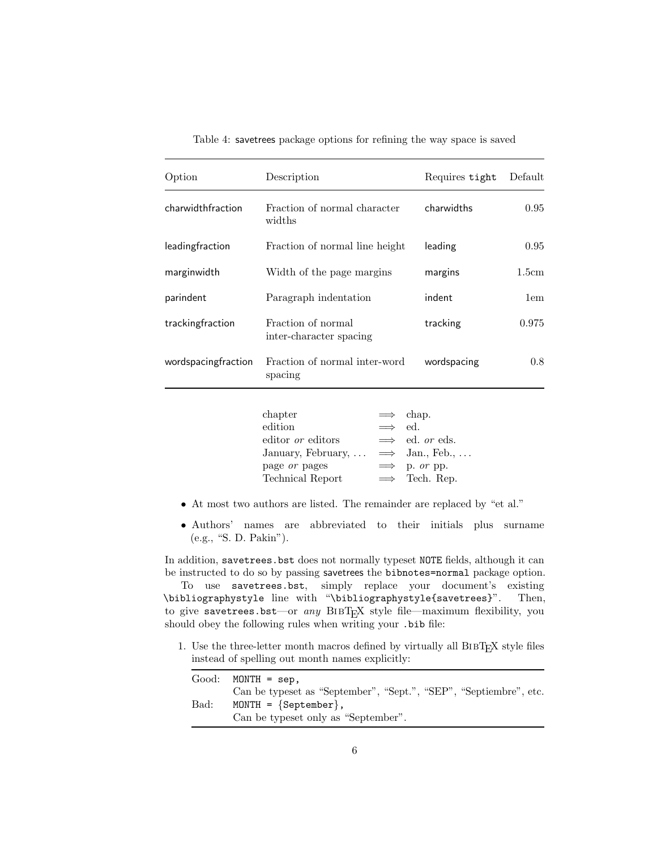| Option              | Description                                   | Requires tight | Default       |
|---------------------|-----------------------------------------------|----------------|---------------|
| charwidthfraction   | Fraction of normal character<br>widths        | charwidths     | 0.95          |
| leadingfraction     | Fraction of normal line height                | leading        | 0.95          |
| marginwidth         | Width of the page margins                     | margins        | 1.5cm         |
| parindent           | Paragraph indentation                         | indent         | 1em           |
| trackingfraction    | Fraction of normal<br>inter-character spacing | tracking       | 0.975         |
| wordspacingfraction | Fraction of normal inter-word<br>spacing      | wordspacing    | $0.8^{\circ}$ |
|                     |                                               |                |               |

<span id="page-5-0"></span>Table 4: savetrees package options for refining the way space is saved

| $ch$ apter                                |                | $\implies$ chap.              |
|-------------------------------------------|----------------|-------------------------------|
| $_{\rm edition}$                          | $\implies$ ed. |                               |
| editor <i>or</i> editors                  |                | $\implies$ ed. <i>or</i> eds. |
| January, February, $\implies$ Jan., Feb., |                |                               |
| page or pages                             |                | $\implies$ p. or pp.          |
| Technical Report                          |                | $\implies$ Tech. Rep.         |

- At most two authors are listed. The remainder are replaced by "et al."
- Authors' names are abbreviated to their initials plus surname (e.g., "S. D. Pakin").

In addition, savetrees.bst does not normally typeset NOTE fields, although it can be instructed to do so by passing savetrees the bibnotes=normal package option.

To use savetrees.bst, simply replace your document's existing \bibliographystyle line with "\bibliographystyle{savetrees}". Then, to give savetrees.bst—or any BIBTEX style file—maximum flexibility, you should obey the following rules when writing your .bib file:

1. Use the three-letter month macros defined by virtually all  $BIBT<sub>F</sub>X$  style files instead of spelling out month names explicitly:

|      | $Good:$ MONTH = sep.                                              |
|------|-------------------------------------------------------------------|
|      | Can be typeset as "September", "Sept.", "SEP", "Septiembre", etc. |
| Bad: | MONTH = $\{September\}$ ,                                         |
|      | Can be typeset only as "September".                               |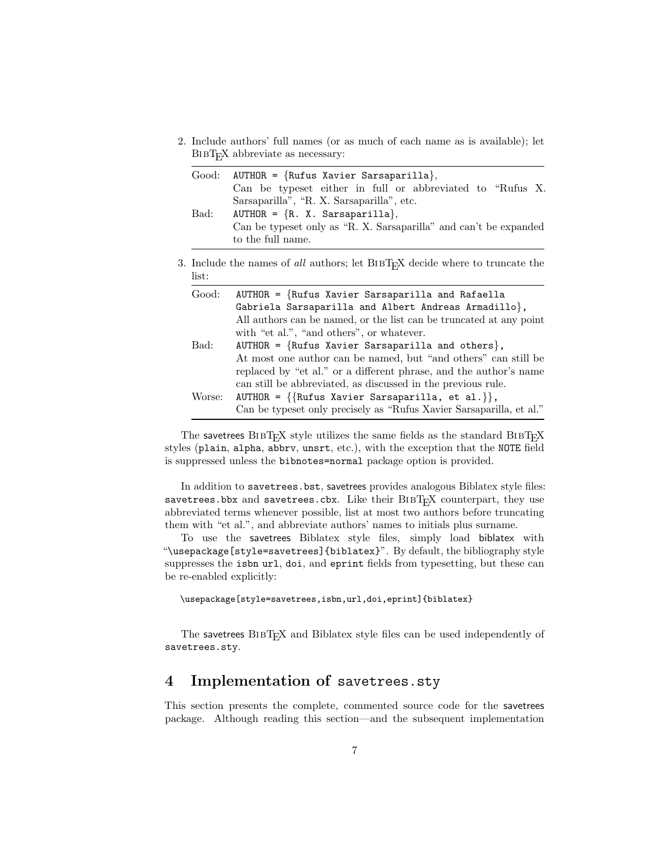2. Include authors' full names (or as much of each name as is available); let BIBT<sub>E</sub>X abbreviate as necessary:

| Good:  | $AUTHOR = {Rufus Xavier Sarsaparilla},$<br>Can be typeset either in full or abbreviated to "Rufus X.                                                                                                                                                         |
|--------|--------------------------------------------------------------------------------------------------------------------------------------------------------------------------------------------------------------------------------------------------------------|
| Bad:   | Sarsaparilla", "R. X. Sarsaparilla", etc.<br>AUTHOR = ${R. X. Sarsaparilla},$<br>Can be typeset only as "R. X. Sarsaparilla" and can't be expanded<br>to the full name.                                                                                      |
| list:  | 3. Include the names of all authors; let BIBT <sub>E</sub> X decide where to truncate the                                                                                                                                                                    |
| Good:  | $AUTHOR = {Rufus Xavier Sarsaparilla and Rafaella}$<br>Gabriela Sarsaparilla and Albert Andreas Armadillo},<br>All authors can be named, or the list can be truncated at any point<br>with "et al.", "and others", or whatever.                              |
| Bad:   | AUTHOR = $\{Rufus Xavier Sarsaparilla and others\}$ ,<br>At most one author can be named, but "and others" can still be<br>replaced by "et al." or a different phrase, and the author's name<br>can still be abbreviated, as discussed in the previous rule. |
| Worse: | AUTHOR = $\{\{\text{Rufus Xavier Sarsaparilla, et al.}\}\}\,$<br>Can be typeset only precisely as "Rufus Xavier Sarsaparilla, et al."                                                                                                                        |

The savetrees  $BIBT_FX$  style utilizes the same fields as the standard  $BIBT_FX$ styles (plain, alpha, abbrv, unsrt, etc.), with the exception that the NOTE field is suppressed unless the bibnotes=normal package option is provided.

In addition to savetrees.bst, savetrees provides analogous Biblatex style files: savetrees.bbx and savetrees.cbx. Like their  $BIBT<sub>F</sub>X$  counterpart, they use abbreviated terms whenever possible, list at most two authors before truncating them with "et al.", and abbreviate authors' names to initials plus surname.

To use the savetrees Biblatex style files, simply load biblatex with "\usepackage[style=savetrees]{biblatex}". By default, the bibliography style suppresses the isbn url, doi, and eprint fields from typesetting, but these can be re-enabled explicitly:

\usepackage[style=savetrees,isbn,url,doi,eprint]{biblatex}

The savetrees BIBT<sub>E</sub>X and Biblatex style files can be used independently of savetrees.sty.

# <span id="page-6-0"></span>4 Implementation of savetrees.sty

This section presents the complete, commented source code for the savetrees package. Although reading this section—and the subsequent implementation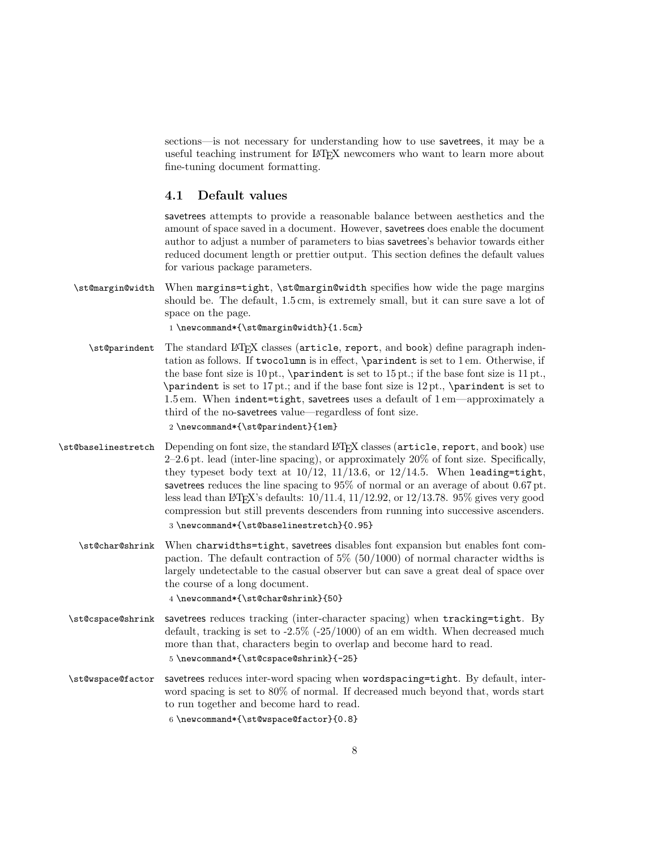sections—is not necessary for understanding how to use savetrees, it may be a useful teaching instrument for LATEX newcomers who want to learn more about fine-tuning document formatting.

#### 4.1 Default values

savetrees attempts to provide a reasonable balance between aesthetics and the amount of space saved in a document. However, savetrees does enable the document author to adjust a number of parameters to bias savetrees's behavior towards either reduced document length or prettier output. This section defines the default values for various package parameters.

\st@margin@width When margins=tight, \st@margin@width specifies how wide the page margins should be. The default, 1.5 cm, is extremely small, but it can sure save a lot of space on the page.

1 \newcommand\*{\st@margin@width}{1.5cm}

\st@parindent The standard LATEX classes (article, report, and book) define paragraph indentation as follows. If twocolumn is in effect, \parindent is set to 1 em. Otherwise, if the base font size is  $10 \text{ pt}$ ., \parindent is set to  $15 \text{ pt}$ .; if the base font size is  $11 \text{ pt}$ . \parindent is set to 17 pt.; and if the base font size is 12 pt., \parindent is set to 1.5 em. When indent=tight, savetrees uses a default of 1 em—approximately a third of the no-savetrees value—regardless of font size.

2 \newcommand\*{\st@parindent}{1em}

- \st@baselinestretch Depending on font size, the standard LATEX classes (article, report, and book) use 2–2.6 pt. lead (inter-line spacing), or approximately 20% of font size. Specifically, they typeset body text at  $10/12$ ,  $11/13.6$ , or  $12/14.5$ . When leading=tight, savetrees reduces the line spacing to 95% of normal or an average of about 0.67 pt. less lead than LATEX's defaults:  $10/11.4$ ,  $11/12.92$ , or  $12/13.78$ .  $95\%$  gives very good compression but still prevents descenders from running into successive ascenders. 3 \newcommand\*{\st@baselinestretch}{0.95}
	- \st@char@shrink When charwidths=tight, savetrees disables font expansion but enables font compaction. The default contraction of  $5\%$  (50/1000) of normal character widths is largely undetectable to the casual observer but can save a great deal of space over the course of a long document.

4 \newcommand\*{\st@char@shrink}{50}

- \st@cspace@shrink savetrees reduces tracking (inter-character spacing) when tracking=tight. By default, tracking is set to  $-2.5\%$   $(-25/1000)$  of an em width. When decreased much more than that, characters begin to overlap and become hard to read. 5 \newcommand\*{\st@cspace@shrink}{-25}
- \st@wspace@factor savetrees reduces inter-word spacing when wordspacing=tight. By default, interword spacing is set to 80% of normal. If decreased much beyond that, words start to run together and become hard to read.

6 \newcommand\*{\st@wspace@factor}{0.8}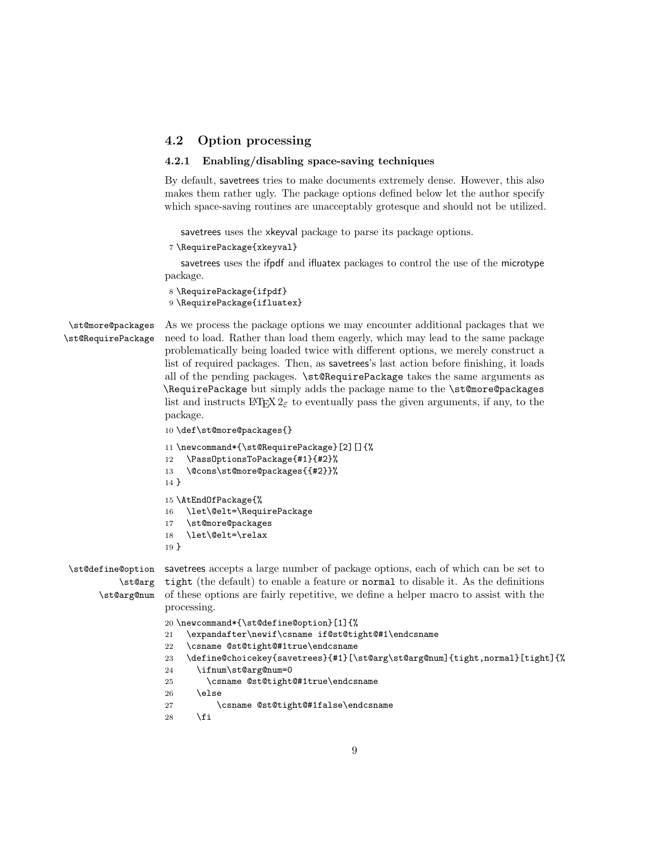### <span id="page-8-0"></span>4.2 Option processing

#### 4.2.1 Enabling/disabling space-saving techniques

By default, savetrees tries to make documents extremely dense. However, this also makes them rather ugly. The package options defined below let the author specify which space-saving routines are unacceptably grotesque and should not be utilized.

savetrees uses the xkeyval package to parse its package options.

```
7 \RequirePackage{xkeyval}
```
savetrees uses the ifpdf and ifluatex packages to control the use of the microtype package.

```
8 \RequirePackage{ifpdf}
9 \RequirePackage{ifluatex}
```
\st@more@packages \st@RequirePackage

As we process the package options we may encounter additional packages that we need to load. Rather than load them eagerly, which may lead to the same package problematically being loaded twice with different options, we merely construct a list of required packages. Then, as savetrees's last action before finishing, it loads all of the pending packages. \st@RequirePackage takes the same arguments as \RequirePackage but simply adds the package name to the \st@more@packages list and instructs  $\text{LATE}$   $2\varepsilon$  to eventually pass the given arguments, if any, to the package.

```
10 \def\st@more@packages{}
```

```
11 \newcommand*{\st@RequirePackage}[2][]{%
```

```
12 \PassOptionsToPackage{#1}{#2}%
```

```
13 \@cons\st@more@packages{{#2}}%
```

```
14 }
```

```
15 \AtEndOfPackage{%
```
16 \let\@elt=\RequirePackage

```
17 \st@more@packages
```
18 \let\@elt=\relax

```
19 }
```
\st@arg \st@arg@num

\st@define@option savetrees accepts a large number of package options, each of which can be set to tight (the default) to enable a feature or normal to disable it. As the definitions of these options are fairly repetitive, we define a helper macro to assist with the processing.

```
20 \newcommand*{\st@define@option}[1]{%
```

```
21 \expandafter\newif\csname if@st@tight@#1\endcsname
```
22 \csname @st@tight@#1true\endcsname

```
23 \define@choicekey{savetrees}{#1}[\st@arg\st@arg@num]{tight,normal}[tight]{%
```

```
24 \ifnum\st@arg@num=0
```

```
25 \csname @st@tight@#1true\endcsname
```

```
26 \else
```

```
27 \csname @st@tight@#1false\endcsname
```

```
28 \fi
```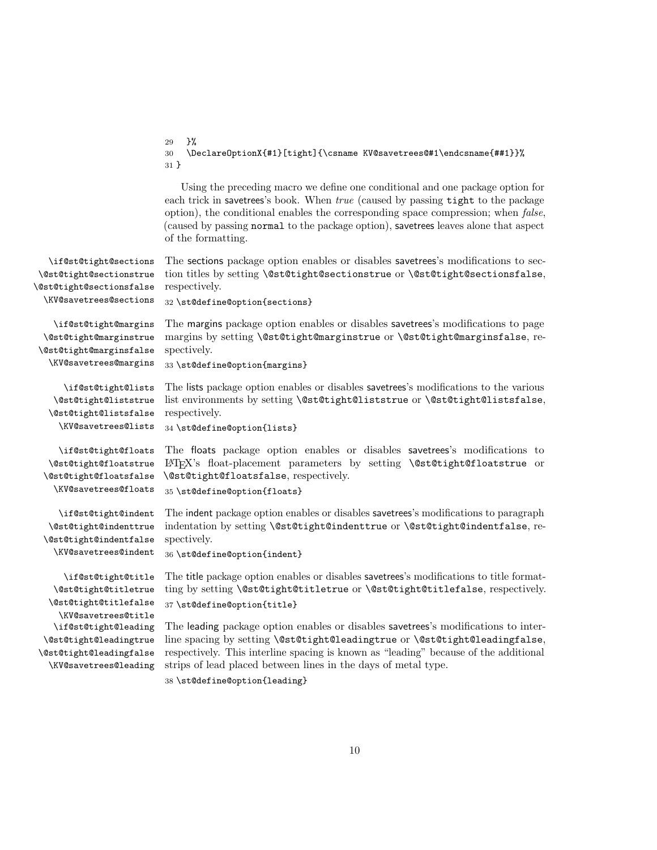|                                                                                            | }%<br>29<br>\Declare0ptionX{#1}[tight]{\csname KV@savetrees@#1\endcsname{##1}}%<br>30<br>$31 \}$                                                                                                                                                                                                                                                                               |
|--------------------------------------------------------------------------------------------|--------------------------------------------------------------------------------------------------------------------------------------------------------------------------------------------------------------------------------------------------------------------------------------------------------------------------------------------------------------------------------|
|                                                                                            | Using the preceding macro we define one conditional and one package option for<br>each trick in savetrees's book. When true (caused by passing tight to the package<br>option), the conditional enables the corresponding space compression; when <i>false</i> ,<br>(caused by passing normal to the package option), savetrees leaves alone that aspect<br>of the formatting. |
| \if@st@tight@sections                                                                      | The sections package option enables or disables savetrees's modifications to sec-                                                                                                                                                                                                                                                                                              |
| \@st@tight@sectionstrue                                                                    | tion titles by setting \@st@tight@sectionstrue or \@st@tight@sectionsfalse,                                                                                                                                                                                                                                                                                                    |
| \@st@tight@sectionsfalse                                                                   | respectively.                                                                                                                                                                                                                                                                                                                                                                  |
| \KV@savetrees@sections                                                                     | 32 \st@define@option{sections}                                                                                                                                                                                                                                                                                                                                                 |
| \if@st@tight@margins                                                                       | The margins package option enables or disables savetrees's modifications to page                                                                                                                                                                                                                                                                                               |
| \@st@tight@marginstrue                                                                     | margins by setting \@st@tight@marginstrue or \@st@tight@marginsfalse, re-                                                                                                                                                                                                                                                                                                      |
| \@st@tight@marginsfalse                                                                    | spectively.                                                                                                                                                                                                                                                                                                                                                                    |
| \KV@savetrees@margins                                                                      | 33 \st@define@option{margins}                                                                                                                                                                                                                                                                                                                                                  |
| \if@st@tight@lists                                                                         | The lists package option enables or disables savetrees's modifications to the various                                                                                                                                                                                                                                                                                          |
| \@st@tight@liststrue                                                                       | list environments by setting \@st@tight@liststrue or \@st@tight@listsfalse,                                                                                                                                                                                                                                                                                                    |
| \@st@tight@listsfalse                                                                      | respectively.                                                                                                                                                                                                                                                                                                                                                                  |
| \KV@savetrees@lists                                                                        | 34 \st@define@option{lists}                                                                                                                                                                                                                                                                                                                                                    |
| \if@st@tight@floats                                                                        | The floats package option enables or disables savetrees's modifications to                                                                                                                                                                                                                                                                                                     |
| \@st@tight@floatstrue                                                                      | LAT <sub>F</sub> X's float-placement parameters by setting <b>\@st@tight@floatstrue</b> or                                                                                                                                                                                                                                                                                     |
| \@st@tight@floatsfalse                                                                     | \@st@tight@floatsfalse, respectively.                                                                                                                                                                                                                                                                                                                                          |
| \KV@savetrees@floats                                                                       | 35 \st@define@option{floats}                                                                                                                                                                                                                                                                                                                                                   |
| \if@st@tight@indent                                                                        | The indent package option enables or disables savetrees's modifications to paragraph                                                                                                                                                                                                                                                                                           |
| \@st@tight@indenttrue                                                                      | indentation by setting \@st@tight@indenttrue or \@st@tight@indentfalse, re-                                                                                                                                                                                                                                                                                                    |
| \@st@tight@indentfalse                                                                     | spectively.                                                                                                                                                                                                                                                                                                                                                                    |
| \KV@savetrees@indent                                                                       | 36 \st@define@option{indent}                                                                                                                                                                                                                                                                                                                                                   |
| \if@st@tight@title<br>\@st@tight@titletrue<br>\@st@tight@titlefalse<br>\KV@savetrees@title | The title package option enables or disables savetrees's modifications to title format-<br>ting by setting \@st@tight@titletrue or \@st@tight@titlefalse, respectively.<br>37 \st@define@option{title}                                                                                                                                                                         |
| \if@st@tight@leading                                                                       | The leading package option enables or disables savetrees's modifications to inter-                                                                                                                                                                                                                                                                                             |
| \@st@tight@leadingtrue                                                                     | line spacing by setting \@st@tight@leadingtrue or \@st@tight@leadingfalse,                                                                                                                                                                                                                                                                                                     |
| \@st@tight@leadingfalse                                                                    | respectively. This interline spacing is known as "leading" because of the additional                                                                                                                                                                                                                                                                                           |
| \KV@savetrees@leading                                                                      | strips of lead placed between lines in the days of metal type.                                                                                                                                                                                                                                                                                                                 |

38 \st@define@option{leading}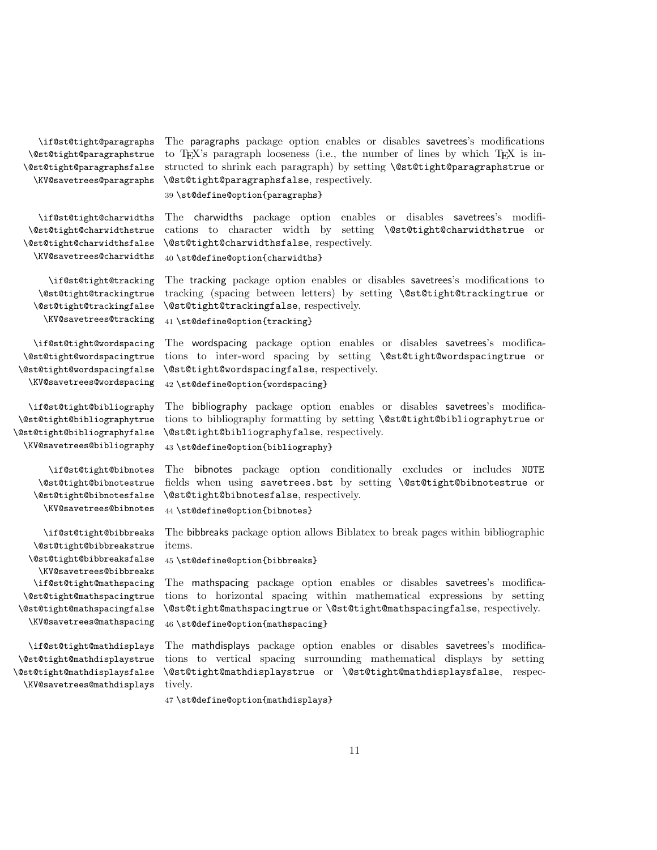\if@st@tight@paragraphs \@st@tight@paragraphstrue \@st@tight@paragraphsfalse \KV@savetrees@paragraphs

The paragraphs package option enables or disables savetrees's modifications to T<sub>E</sub>X's paragraph looseness (i.e., the number of lines by which T<sub>E</sub>X is instructed to shrink each paragraph) by setting \@st@tight@paragraphstrue or \@st@tight@paragraphsfalse, respectively.

39 \st@define@option{paragraphs}

\if@st@tight@charwidths \@st@tight@charwidthstrue \@st@tight@charwidthsfalse \KV@savetrees@charwidths

\if@st@tight@tracking \@st@tight@trackingtrue \@st@tight@trackingfalse \KV@savetrees@tracking

\if@st@tight@wordspacing \@st@tight@wordspacingtrue \@st@tight@wordspacingfalse \KV@savetrees@wordspacing

\if@st@tight@bibliography \@st@tight@bibliographytrue \@st@tight@bibliographyfalse \KV@savetrees@bibliography

> \if@st@tight@bibnotes \@st@tight@bibnotestrue \@st@tight@bibnotesfalse \KV@savetrees@bibnotes

\if@st@tight@bibbreaks \@st@tight@bibbreakstrue \@st@tight@bibbreaksfalse \KV@savetrees@bibbreaks \if@st@tight@mathspacing \@st@tight@mathspacingtrue \@st@tight@mathspacingfalse \KV@savetrees@mathspacing

\if@st@tight@mathdisplays \@st@tight@mathdisplaystrue \@st@tight@mathdisplaysfalse \KV@savetrees@mathdisplays

The charwidths package option enables or disables savetrees's modifications to character width by setting \@st@tight@charwidthstrue or \@st@tight@charwidthsfalse, respectively. 40 \st@define@option{charwidths}

The tracking package option enables or disables savetrees's modifications to tracking (spacing between letters) by setting \@st@tight@trackingtrue or \@st@tight@trackingfalse, respectively.

41 \st@define@option{tracking}

The wordspacing package option enables or disables savetrees's modifications to inter-word spacing by setting \@st@tight@wordspacingtrue or \@st@tight@wordspacingfalse, respectively. 42 \st@define@option{wordspacing}

The bibliography package option enables or disables savetrees's modifications to bibliography formatting by setting \@st@tight@bibliographytrue or \@st@tight@bibliographyfalse, respectively.

43 \st@define@option{bibliography}

The bibnotes package option conditionally excludes or includes NOTE fields when using savetrees.bst by setting \@st@tight@bibnotestrue or \@st@tight@bibnotesfalse, respectively.

44 \st@define@option{bibnotes}

The bibbreaks package option allows Biblatex to break pages within bibliographic items.

45 \st@define@option{bibbreaks}

The mathspacing package option enables or disables savetrees's modifications to horizontal spacing within mathematical expressions by setting \@st@tight@mathspacingtrue or \@st@tight@mathspacingfalse, respectively. 46 \st@define@option{mathspacing}

The mathdisplays package option enables or disables savetrees's modifications to vertical spacing surrounding mathematical displays by setting \@st@tight@mathdisplaystrue or \@st@tight@mathdisplaysfalse, respectively.

47 \st@define@option{mathdisplays}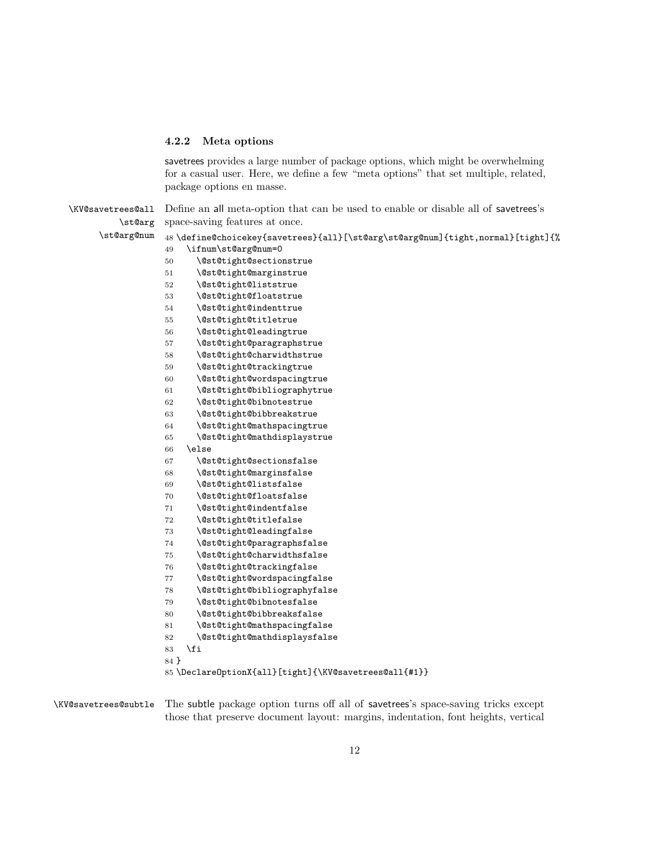#### 4.2.2 Meta options

savetrees provides a large number of package options, which might be overwhelming for a casual user. Here, we define a few "meta options" that set multiple, related, package options en masse.

| \KV@savetrees@all | Define an all meta-option that can be used to enable or disable all of savetrees's |
|-------------------|------------------------------------------------------------------------------------|
| \st@arg           | space-saving features at once.                                                     |
| \st@arg@num       | 48 \define@choicekey{savetrees}{all}[\st@arg\st@arg@num]{tight,normal}[tight]{%    |
|                   | \ifnum\st@arg@num=0<br>49                                                          |
|                   | \@st@tight@sectionstrue<br>50                                                      |
|                   | \@st@tight@marginstrue<br>51                                                       |
|                   | \@st@tight@liststrue<br>52                                                         |
|                   | \@st@tight@floatstrue<br>53                                                        |
|                   | \@st@tight@indenttrue<br>54                                                        |
|                   | \@st@tight@titletrue<br>55                                                         |
|                   | \@st@tight@leadingtrue<br>56                                                       |
|                   | \@st@tight@paragraphstrue<br>57                                                    |
|                   | \@st@tight@charwidthstrue<br>58                                                    |
|                   | 59<br>\@st@tight@trackingtrue                                                      |
|                   | \@st@tight@wordspacingtrue<br>60                                                   |
|                   | \@st@tight@bibliographytrue<br>61                                                  |
|                   | \@st@tight@bibnotestrue<br>62                                                      |
|                   | \@st@tight@bibbreakstrue<br>63                                                     |
|                   | \@st@tight@mathspacingtrue<br>64                                                   |
|                   | \@st@tight@mathdisplaystrue<br>65                                                  |
|                   | \else<br>66                                                                        |
|                   | \@st@tight@sectionsfalse<br>67                                                     |
|                   | \@st@tight@marginsfalse<br>68                                                      |
|                   | \@st@tight@listsfalse<br>69                                                        |
|                   | 70<br>\@st@tight@floatsfalse                                                       |
|                   | \@st@tight@indentfalse<br>71                                                       |
|                   | \@st@tight@titlefalse<br>72                                                        |
|                   | \@st@tight@leadingfalse<br>73                                                      |
|                   | \@st@tight@paragraphsfalse<br>74                                                   |
|                   | \@st@tight@charwidthsfalse<br>75                                                   |
|                   | \@st@tight@trackingfalse<br>76                                                     |
|                   | \@st@tight@wordspacingfalse<br>77                                                  |
|                   | \@st@tight@bibliographyfalse<br>78                                                 |
|                   | \@st@tight@bibnotesfalse<br>79                                                     |
|                   | \@st@tight@bibbreaksfalse<br>80                                                    |
|                   | \@st@tight@mathspacingfalse<br>81                                                  |
|                   | \@st@tight@mathdisplaysfalse<br>82                                                 |
|                   | \fi<br>83                                                                          |
|                   | 84 }                                                                               |
|                   | 85\Declare0ptionX{all}[tight]{\KV@savetrees@all{#1}}                               |
|                   |                                                                                    |

\KV@savetrees@subtle The subtle package option turns off all of savetrees's space-saving tricks except those that preserve document layout: margins, indentation, font heights, vertical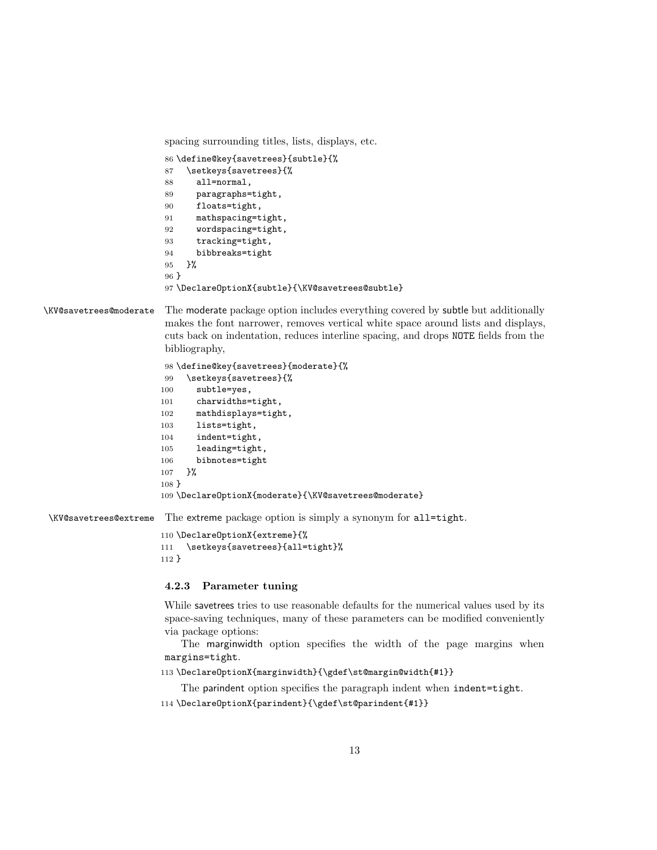spacing surrounding titles, lists, displays, etc.

```
86 \define@key{savetrees}{subtle}{%
87 \setkeys{savetrees}{%
88 all=normal,
89 paragraphs=tight,
90 floats=tight,
91 mathspacing=tight,
92 wordspacing=tight,
93 tracking=tight,
94 bibbreaks=tight
95 }%
96 }
97 \DeclareOptionX{subtle}{\KV@savetrees@subtle}
```
\KV@savetrees@moderate The moderate package option includes everything covered by subtle but additionally makes the font narrower, removes vertical white space around lists and displays, cuts back on indentation, reduces interline spacing, and drops NOTE fields from the bibliography,

```
98 \define@key{savetrees}{moderate}{%
99 \setkeys{savetrees}{%
100 subtle=yes,
101 charwidths=tight,
102 mathdisplays=tight,
103 lists=tight,
104 indent=tight,
105 leading=tight,
106 bibnotes=tight
107 }%
108 }
109 \DeclareOptionX{moderate}{\KV@savetrees@moderate}
```
\KV@savetrees@extreme The extreme package option is simply a synonym for all=tight.

```
110 \DeclareOptionX{extreme}{%
111 \setkeys{savetrees}{all=tight}%
112 }
```
#### 4.2.3 Parameter tuning

While savetrees tries to use reasonable defaults for the numerical values used by its space-saving techniques, many of these parameters can be modified conveniently via package options:

The marginwidth option specifies the width of the page margins when margins=tight.

```
113 \DeclareOptionX{marginwidth}{\gdef\st@margin@width{#1}}
```
The parindent option specifies the paragraph indent when indent=tight.

\DeclareOptionX{parindent}{\gdef\st@parindent{#1}}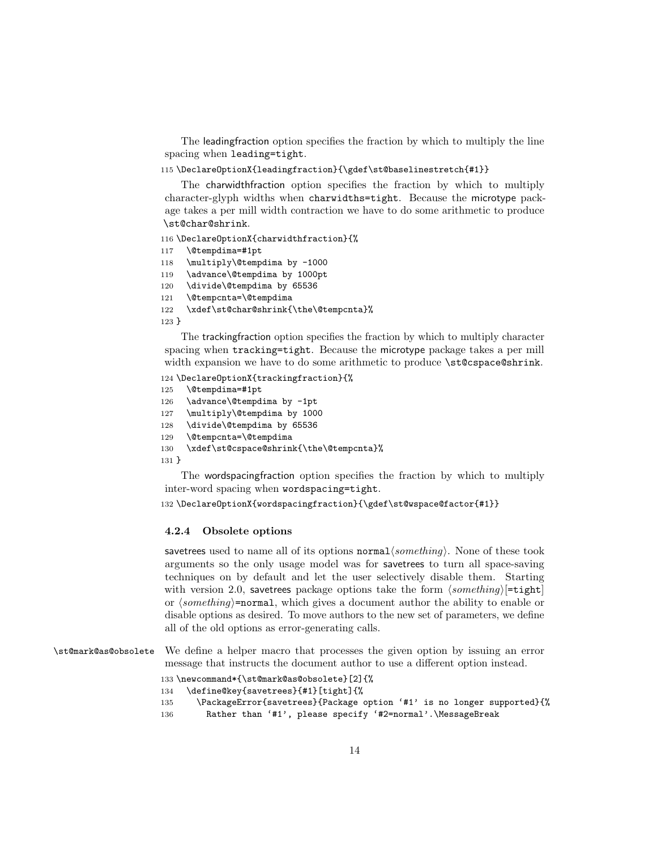The leadingfraction option specifies the fraction by which to multiply the line spacing when leading=tight.

115 \DeclareOptionX{leadingfraction}{\gdef\st@baselinestretch{#1}}

The charwidthfraction option specifies the fraction by which to multiply character-glyph widths when charwidths=tight. Because the microtype package takes a per mill width contraction we have to do some arithmetic to produce \st@char@shrink.

116 \DeclareOptionX{charwidthfraction}{%

- 117 \@tempdima=#1pt
- 118 \multiply\@tempdima by -1000
- 119 \advance\@tempdima by 1000pt
- 120 \divide\@tempdima by 65536
- 121 \@tempcnta=\@tempdima

```
122 \xdef\st@char@shrink{\the\@tempcnta}%
```
123 }

The trackingfraction option specifies the fraction by which to multiply character spacing when tracking=tight. Because the microtype package takes a per mill width expansion we have to do some arithmetic to produce \st@cspace@shrink.

```
124 \DeclareOptionX{trackingfraction}{%
```

```
125 \@tempdima=#1pt
```

```
126 \advance\@tempdima by -1pt
```

```
127 \multiply\@tempdima by 1000
```
- 128 \divide\@tempdima by 65536
- 129 \@tempcnta=\@tempdima

```
130 \xdef\st@cspace@shrink{\the\@tempcnta}%
```
131 }

The wordspacingfraction option specifies the fraction by which to multiply inter-word spacing when wordspacing=tight.

132 \DeclareOptionX{wordspacingfraction}{\gdef\st@wspace@factor{#1}}

#### 4.2.4 Obsolete options

savetrees used to name all of its options normal $\langle something \rangle$ . None of these took arguments so the only usage model was for savetrees to turn all space-saving techniques on by default and let the user selectively disable them. Starting with version 2.0, savetrees package options take the form  $\langle something \rangle[=\text{tight}]$ or  $\langle something \rangle$ =normal, which gives a document author the ability to enable or disable options as desired. To move authors to the new set of parameters, we define all of the old options as error-generating calls.

\st@mark@as@obsolete We define a helper macro that processes the given option by issuing an error message that instructs the document author to use a different option instead.

```
133 \newcommand*{\st@mark@as@obsolete}[2]{%
134 \define@key{savetrees}{#1}[tight]{%
135 \PackageError{savetrees}{Package option '#1' is no longer supported}{%
136 Rather than '#1', please specify '#2=normal'.\MessageBreak
```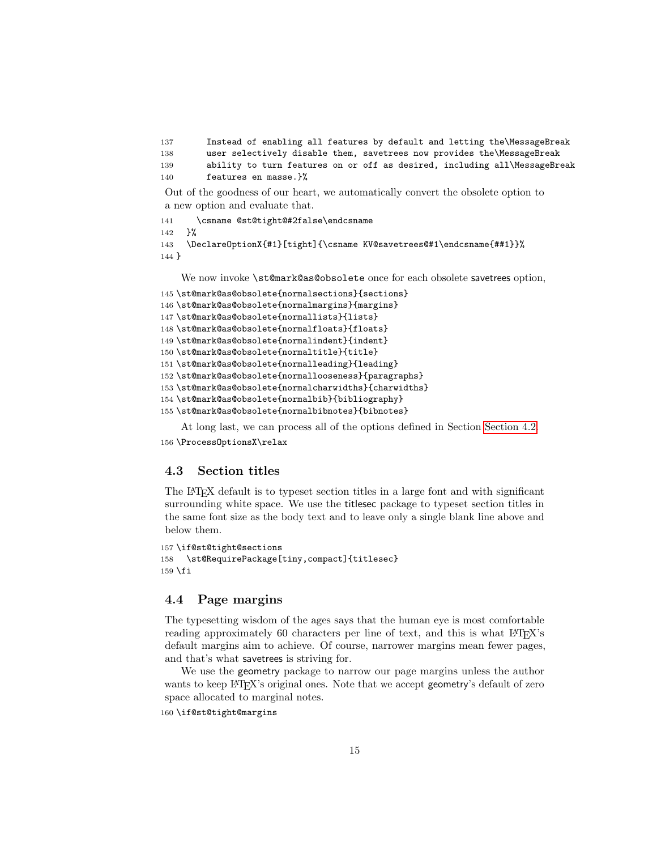```
137 Instead of enabling all features by default and letting the\MessageBreak
138 user selectively disable them, savetrees now provides the\MessageBreak
139 ability to turn features on or off as desired, including all\MessageBreak
140 features en masse.}%
```
Out of the goodness of our heart, we automatically convert the obsolete option to a new option and evaluate that.

```
141 \csname @st@tight@#2false\endcsname
142 }%
143 \DeclareOptionX{#1}[tight]{\csname KV@savetrees@#1\endcsname{##1}}%
144 }
```
We now invoke \st@mark@as@obsolete once for each obsolete savetrees option,

```
145 \st@mark@as@obsolete{normalsections}{sections}
146 \st@mark@as@obsolete{normalmargins}{margins}
147 \st@mark@as@obsolete{normallists}{lists}
148 \st@mark@as@obsolete{normalfloats}{floats}
149 \st@mark@as@obsolete{normalindent}{indent}
150 \st@mark@as@obsolete{normaltitle}{title}
151 \st@mark@as@obsolete{normalleading}{leading}
152 \st@mark@as@obsolete{normallooseness}{paragraphs}
153 \st@mark@as@obsolete{normalcharwidths}{charwidths}
154 \st@mark@as@obsolete{normalbib}{bibliography}
155 \st@mark@as@obsolete{normalbibnotes}{bibnotes}
```
At long last, we can process all of the options defined in Section [Section 4.2.](#page-8-0)

```
156 \ProcessOptionsX\relax
```
#### 4.3 Section titles

The LATEX default is to typeset section titles in a large font and with significant surrounding white space. We use the titlesec package to typeset section titles in the same font size as the body text and to leave only a single blank line above and below them.

```
157 \if@st@tight@sections
158 \st@RequirePackage[tiny,compact]{titlesec}
159 \overline{159}
```
#### 4.4 Page margins

The typesetting wisdom of the ages says that the human eye is most comfortable reading approximately 60 characters per line of text, and this is what LAT<sub>E</sub>X's default margins aim to achieve. Of course, narrower margins mean fewer pages, and that's what savetrees is striving for.

We use the geometry package to narrow our page margins unless the author wants to keep LAT<sub>EX</sub>'s original ones. Note that we accept geometry's default of zero space allocated to marginal notes.

```
160 \if@st@tight@margins
```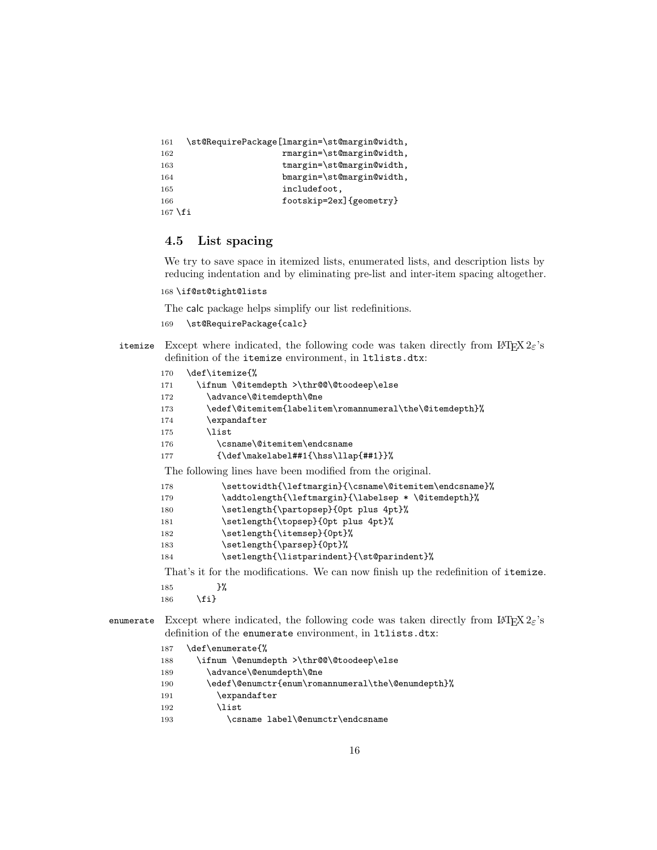```
161 \st@RequirePackage[lmargin=\st@margin@width,
162 rmargin=\st@margin@width,
163 tmargin=\st@margin@width,
164 bmargin=\st@margin@width,
165 includefoot,
166 footskip=2ex]{geometry}
167 \fi
```
#### 4.5 List spacing

We try to save space in itemized lists, enumerated lists, and description lists by reducing indentation and by eliminating pre-list and inter-item spacing altogether.

```
168 \if@st@tight@lists
```
The calc package helps simplify our list redefinitions.

```
169 \st@RequirePackage{calc}
```
itemize Except where indicated, the following code was taken directly from  $\mathbb{F} \text{Tr} X 2 \varepsilon$ 's definition of the itemize environment, in ltlists.dtx:

| 170 | \def\itemize{%                                                                         |
|-----|----------------------------------------------------------------------------------------|
| 171 | \ifnum \@itemdepth >\thr@@\@toodeep\else                                               |
| 172 | \advance\@itemdepth\@ne                                                                |
| 173 | \edef\@itemitem{labelitem\romannumeral\the\@itemdepth}%                                |
| 174 | \expandafter                                                                           |
| 175 | <b>\list</b>                                                                           |
| 176 | \csname\@itemitem\endcsname                                                            |
| 177 | $\{\def\mathcal= \#1{\hspace{-0.1cm}\hspace{-0.1cm}\hspace{-0.1cm}\hspace{-0.1cm} }\}$ |
|     | The following lines have been modified from the original.                              |
| 178 | \settowidth{\leftmargin}{\csname\@itemitem\endcsname}%                                 |
| 179 | \addtolength{\leftmargin}{\labelsep * \@itemdepth}%                                    |
| 180 | \setlength{\partopsep}{0pt plus 4pt}%                                                  |
| 181 | \setlength{\topsep}{0pt plus 4pt}%                                                     |
| 182 | \setlength{\itemsep}{0pt}%                                                             |
| 183 | \setlength{\parsep}{0pt}%                                                              |
| 184 | \setlength{\listparindent}{\st@parindent}%                                             |
|     |                                                                                        |

That's it for the modifications. We can now finish up the redefinition of itemize.

- 185 }%
- 186 \fi}

enumerate Except where indicated, the following code was taken directly from  $\mathbb{E} T_F X 2_\varepsilon$ 's definition of the enumerate environment, in ltlists.dtx:

- 187 \def\enumerate{%
- 188 \ifnum \@enumdepth >\thr@@\@toodeep\else
- 189 \advance\@enumdepth\@ne
- 190 \edef\@enumctr{enum\romannumeral\the\@enumdepth}%
- 191 \expandafter
- $192$   $\lambda$ list
- 193 \csname label\@enumctr\endcsname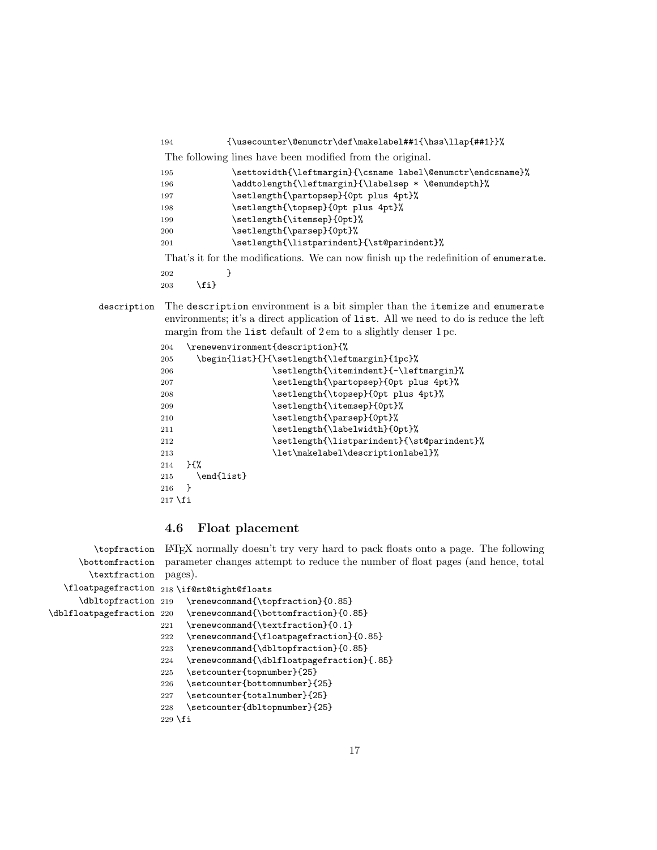| The following lines have been modified from the original.<br>\settowidth{\leftmargin}{\csname label\@enumctr\endcsname}%<br>195<br>\addtolength{\leftmargin}{\labelsep * \@enumdepth}%<br>196<br>\setlength{\partopsep}{0pt plus 4pt}%<br>197<br>\setlength{\topsep}{0pt plus 4pt}%<br>198<br>\setlength{\itemsep}{0pt}%<br>199<br>\setlength{\parsep}{0pt}%<br>200<br>\setlength{\listparindent}{\st@parindent}%<br>201<br>That's it for the modifications. We can now finish up the redefinition of enumerate.<br>202 | 194 | ${\text@enumerate\def\makelabel#1}(\hss\llf#1}$ |
|-------------------------------------------------------------------------------------------------------------------------------------------------------------------------------------------------------------------------------------------------------------------------------------------------------------------------------------------------------------------------------------------------------------------------------------------------------------------------------------------------------------------------|-----|-------------------------------------------------|
|                                                                                                                                                                                                                                                                                                                                                                                                                                                                                                                         |     |                                                 |
|                                                                                                                                                                                                                                                                                                                                                                                                                                                                                                                         |     |                                                 |
|                                                                                                                                                                                                                                                                                                                                                                                                                                                                                                                         |     |                                                 |
|                                                                                                                                                                                                                                                                                                                                                                                                                                                                                                                         |     |                                                 |
|                                                                                                                                                                                                                                                                                                                                                                                                                                                                                                                         |     |                                                 |
|                                                                                                                                                                                                                                                                                                                                                                                                                                                                                                                         |     |                                                 |
|                                                                                                                                                                                                                                                                                                                                                                                                                                                                                                                         |     |                                                 |
|                                                                                                                                                                                                                                                                                                                                                                                                                                                                                                                         |     |                                                 |
|                                                                                                                                                                                                                                                                                                                                                                                                                                                                                                                         |     |                                                 |
|                                                                                                                                                                                                                                                                                                                                                                                                                                                                                                                         |     |                                                 |

- 203  $\{f_i\}$
- description The description environment is a bit simpler than the itemize and enumerate environments; it's a direct application of list. All we need to do is reduce the left margin from the list default of 2 em to a slightly denser 1 pc.

```
204 \renewenvironment{description}{%
205 \begin{list}{}{\setlength{\leftmargin}{1pc}%
206 \setlength{\itemindent}{-\leftmargin}%
207 \setlength{\partopsep}{0pt plus 4pt}%
208 \setlength{\topsep}{0pt plus 4pt}%
209 \setlength{\itemsep}{0pt}%
210 \setlength{\parsep}{0pt}%
211 \setlength{\labelwidth}{0pt}%
212 \setlength{\listparindent}{\st@parindent}%
213 \let\makelabel\descriptionlabel}%
214 }{%
215 \end{list}
216 }
217 \fi
```
#### 4.6 Float placement

```
\topfraction
      \bottomfraction
       \textfraction
   \floatpagefraction
218 \if@st@tight@floats
      \dbltopfraction 219
\dblfloatpagefraction 220
                      LATEX normally doesn't try very hard to pack floats onto a page. The following
                       parameter changes attempt to reduce the number of float pages (and hence, total
                      pages).
                           \renewcommand{\topfraction}{0.85}
                           \renewcommand{\bottomfraction}{0.85}
                      221 \renewcommand{\textfraction}{0.1}
                      222 \renewcommand{\floatpagefraction}{0.85}
                      223 \renewcommand{\dbltopfraction}{0.85}
                      224 \renewcommand{\dblfloatpagefraction}{.85}
                      225 \setcounter{topnumber}{25}
                      226 \setcounter{bottomnumber}{25}
                      227 \setcounter{totalnumber}{25}
                      228 \setcounter{dbltopnumber}{25}
```

```
229 \fi
```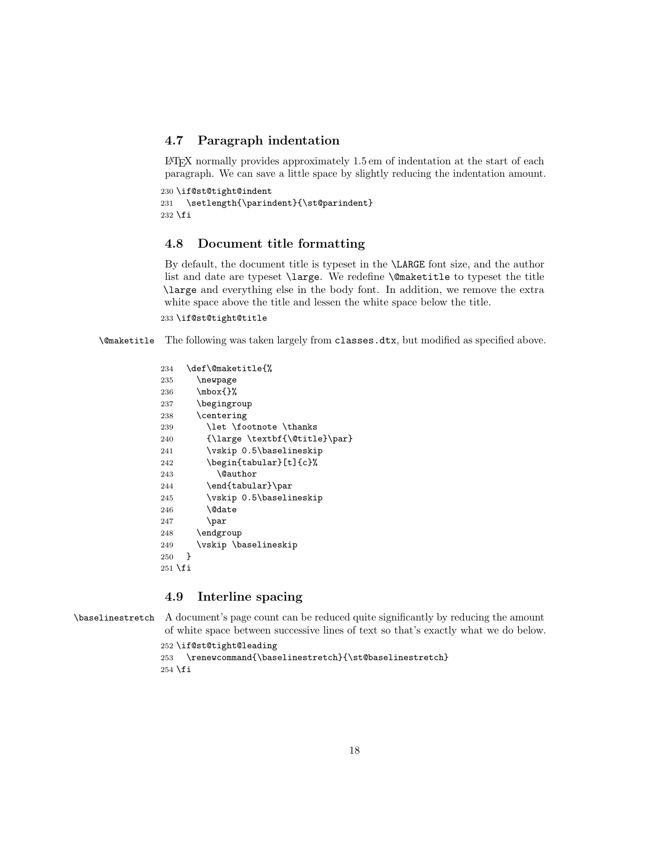### 4.7 Paragraph indentation

 $\Delta E$ T<sub>EX</sub> normally provides approximately 1.5 em of indentation at the start of each paragraph. We can save a little space by slightly reducing the indentation amount.

```
230 \if@st@tight@indent
231 \setlength{\parindent}{\st@parindent}
232 \fi
```
#### 4.8 Document title formatting

By default, the document title is typeset in the \LARGE font size, and the author list and date are typeset \large. We redefine \@maketitle to typeset the title \large and everything else in the body font. In addition, we remove the extra white space above the title and lessen the white space below the title.

233 \if@st@tight@title

\@maketitle The following was taken largely from classes.dtx, but modified as specified above.

```
234 \def\@maketitle{%
235 \newpage
236 \mbox{}%
237 \begingroup
238 \centering
239 \let \footnote \thanks
240 {\large \textbf{\@title}\par}
241 \vskip 0.5\baselineskip
242 \begin{tabular}[t]{c}%
243 \Cauthor
244 \end{tabular}\par
245 \vskip 0.5\baselineskip
246 \@date
247 \par
248 \endgroup
249 \vskip \baselineskip
250 }
251 \fi
```
#### 4.9 Interline spacing

\baselinestretch A document's page count can be reduced quite significantly by reducing the amount of white space between successive lines of text so that's exactly what we do below.

```
252 \if@st@tight@leading
```

```
253 \renewcommand{\baselinestretch}{\st@baselinestretch}
254 \fi
```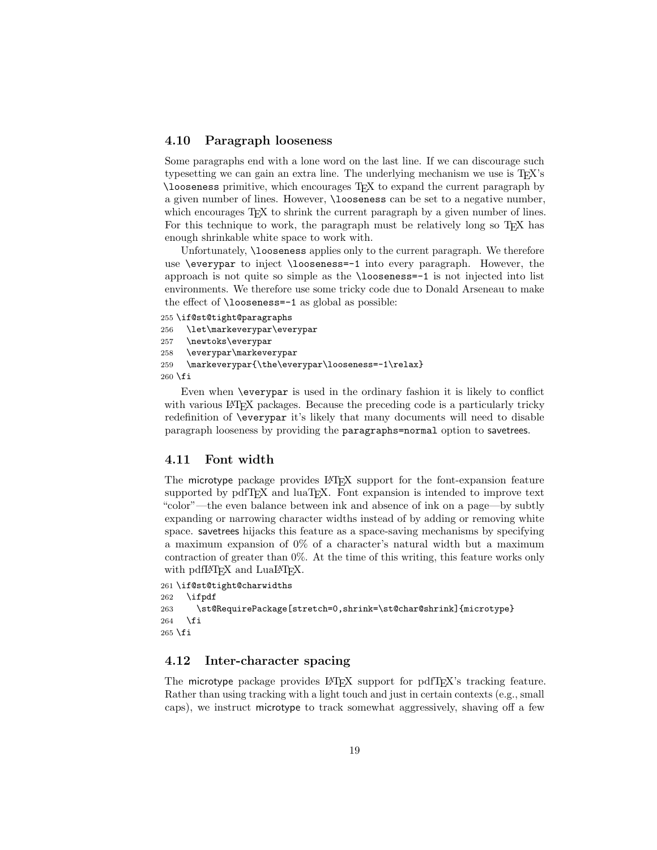#### 4.10 Paragraph looseness

Some paragraphs end with a lone word on the last line. If we can discourage such typesetting we can gain an extra line. The underlying mechanism we use is T<sub>E</sub>X's \looseness primitive, which encourages TEX to expand the current paragraph by a given number of lines. However, \looseness can be set to a negative number, which encourages T<sub>EX</sub> to shrink the current paragraph by a given number of lines. For this technique to work, the paragraph must be relatively long so TEX has enough shrinkable white space to work with.

Unfortunately, **\looseness** applies only to the current paragraph. We therefore use \everypar to inject \looseness=-1 into every paragraph. However, the approach is not quite so simple as the \looseness=-1 is not injected into list environments. We therefore use some tricky code due to Donald Arseneau to make the effect of \looseness=-1 as global as possible:

```
255 \if@st@tight@paragraphs
256 \let\markeverypar\everypar
257 \newtoks\everypar
258 \everypar\markeverypar
259 \markeverypar{\the\everypar\looseness=-1\relax}
260 \fi
```
Even when \everypar is used in the ordinary fashion it is likely to conflict with various LAT<sub>EX</sub> packages. Because the preceding code is a particularly tricky redefinition of \everypar it's likely that many documents will need to disable paragraph looseness by providing the paragraphs=normal option to savetrees.

#### 4.11 Font width

The microtype package provides LAT<sub>EX</sub> support for the font-expansion feature supported by pdfT<sub>EX</sub> and luaT<sub>EX</sub>. Font expansion is intended to improve text "color"—the even balance between ink and absence of ink on a page—by subtly expanding or narrowing character widths instead of by adding or removing white space. savetrees hijacks this feature as a space-saving mechanisms by specifying a maximum expansion of 0% of a character's natural width but a maximum contraction of greater than 0%. At the time of this writing, this feature works only with pdfLAT<sub>EX</sub> and LuaLAT<sub>EX</sub>.

```
261 \if@st@tight@charwidths
262 \ifpdf
263 \st@RequirePackage[stretch=0,shrink=\st@char@shrink]{microtype}
264 \fi
265 \fi
```
#### 4.12 Inter-character spacing

The microtype package provides LAT<sub>EX</sub> support for pdfT<sub>EX</sub>'s tracking feature. Rather than using tracking with a light touch and just in certain contexts (e.g., small caps), we instruct microtype to track somewhat aggressively, shaving off a few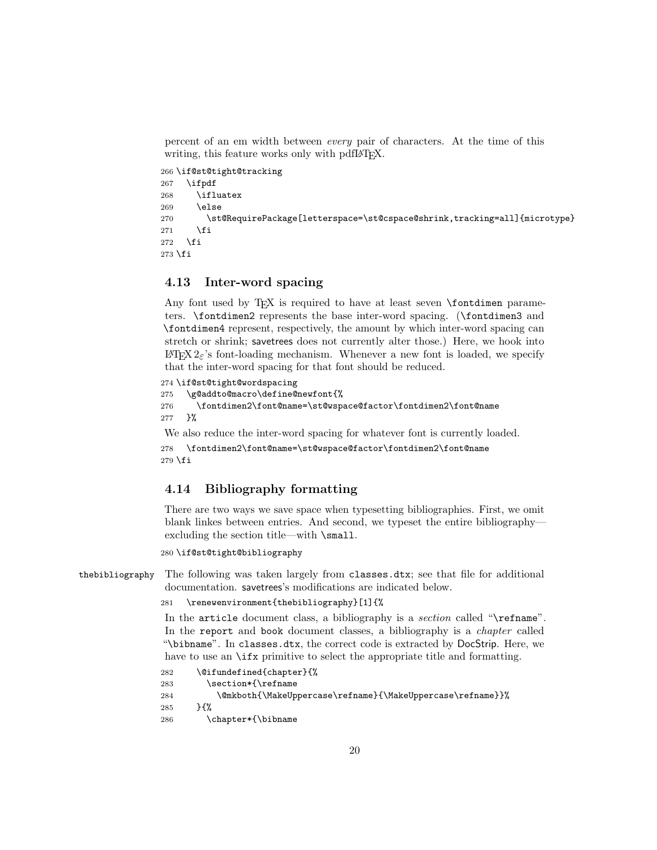percent of an em width between every pair of characters. At the time of this writing, this feature works only with pdfIAT<sub>E</sub>X.

```
266 \if@st@tight@tracking
267 \ifpdf
268 \ifluatex
269 \else
270 \st@RequirePackage[letterspace=\st@cspace@shrink,tracking=all]{microtype}
271 \fi
272 \fi
273 \fi
```
### 4.13 Inter-word spacing

Any font used by T<sub>E</sub>X is required to have at least seven \fontdimen parameters. \fontdimen2 represents the base inter-word spacing. (\fontdimen3 and \fontdimen4 represent, respectively, the amount by which inter-word spacing can stretch or shrink; savetrees does not currently alter those.) Here, we hook into  $\Delta E$ <sub>TEX</sub> 2<sub> $\varepsilon$ </sub>'s font-loading mechanism. Whenever a new font is loaded, we specify that the inter-word spacing for that font should be reduced.

```
274 \if@st@tight@wordspacing
```

```
275 \g@addto@macro\define@newfont{%
```

```
276 \fontdimen2\font@name=\st@wspace@factor\fontdimen2\font@name
277 }%
```
We also reduce the inter-word spacing for whatever font is currently loaded.

```
278 \fontdimen2\font@name=\st@wspace@factor\fontdimen2\font@name
279 \fi
```
#### 4.14 Bibliography formatting

There are two ways we save space when typesetting bibliographies. First, we omit blank linkes between entries. And second, we typeset the entire bibliography excluding the section title—with \small.

280 \if@st@tight@bibliography

```
thebibliography The following was taken largely from classes.dtx; see that file for additional
                 documentation. savetrees's modifications are indicated below.
```

```
281 \renewenvironment{thebibliography}[1]{%
```
In the article document class, a bibliography is a section called "\refname". In the report and book document classes, a bibliography is a *chapter* called "\bibname". In classes.dtx, the correct code is extracted by DocStrip. Here, we have to use an  $\iota$  x primitive to select the appropriate title and formatting.

```
282 \@ifundefined{chapter}{%
283 \section*{\refname
284 \@mkboth{\MakeUppercase\refname}{\MakeUppercase\refname}}%
285 }{%
286 \chapter*{\bibname
```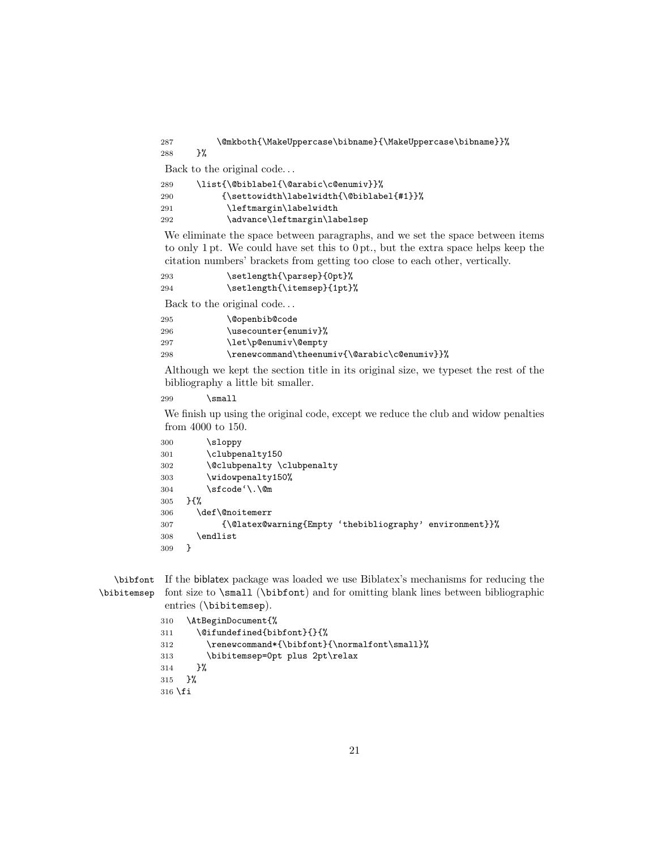\@mkboth{\MakeUppercase\bibname}{\MakeUppercase\bibname}}% }%

Back to the original code. . .

| 289 | \list{\@biblabel{\@arabic\c@enumiv}}%    |
|-----|------------------------------------------|
| 290 | {\settowidth\labelwidth{\@biblabel{#1}}% |
| 291 | \leftmargin\labelwidth                   |
| 292 | \advance\leftmargin\labelsep             |
|     |                                          |

We eliminate the space between paragraphs, and we set the space between items to only 1 pt. We could have set this to 0 pt., but the extra space helps keep the citation numbers' brackets from getting too close to each other, vertically.

| 293 | \setlength{\parsep}{0pt}%  |
|-----|----------------------------|
| 294 | \setlength{\itemsep}{1pt}% |

Back to the original code. . .

| 295 | <b>\@openbib@code</b>                        |
|-----|----------------------------------------------|
| 296 | \usecounter{enumiv}%                         |
| 297 | \let\p@enumiv\@empty                         |
| 298 | \renewcommand\theenumiv{\@arabic\c@enumiv}}% |
|     |                                              |

Although we kept the section title in its original size, we typeset the rest of the bibliography a little bit smaller.

299 \small

We finish up using the original code, except we reduce the club and widow penalties from 4000 to 150.

```
300 \sloppy
301 \clubpenalty150
302 \@clubpenalty \clubpenalty
303 \widowpenalty150%
304 \sfcode'\.\@m
305 }{%
306 \def\@noitemerr
307 {\@latex@warning{Empty 'thebibliography' environment}}%
308 \endlist<br>309 }
309 }
```
\bibfont If the biblatex package was loaded we use Biblatex's mechanisms for reducing the \bibitemsep font size to \small (\bibfont) and for omitting blank lines between bibliographic entries (\bibitemsep).

```
310 \AtBeginDocument{%
311 \@ifundefined{bibfont}{}{%
312 \renewcommand*{\bibfont}{\normalfont\small}%
313 \bibitemsep=0pt plus 2pt\relax
314 }%
315 }%
316 \fi
```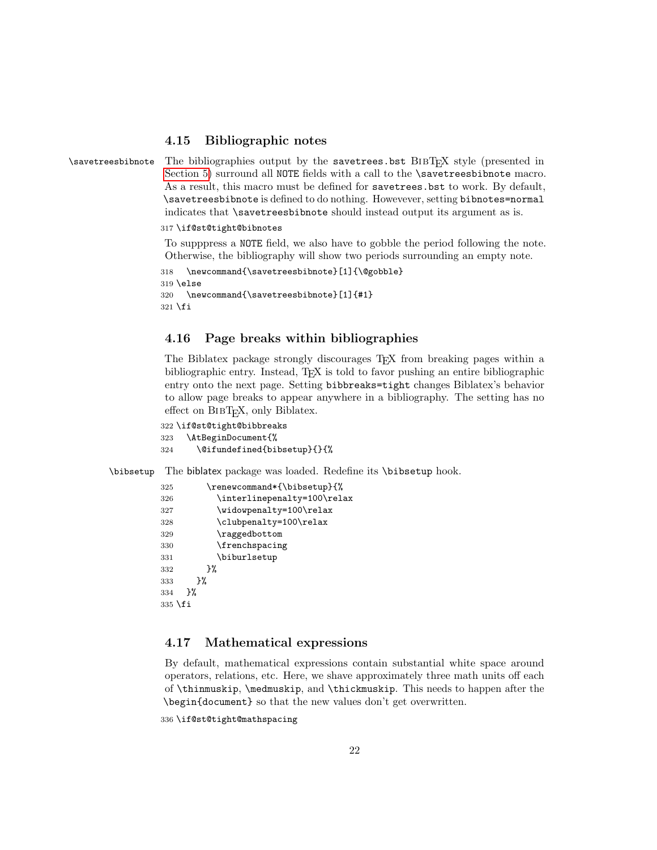#### <span id="page-21-0"></span>4.15 Bibliographic notes

\savetreesbibnote The bibliographies output by the savetrees.bst BIBT<sub>E</sub>X style (presented in [Section 5\)](#page-22-0) surround all NOTE fields with a call to the \savetreesbibnote macro. As a result, this macro must be defined for savetrees.bst to work. By default, \savetreesbibnote is defined to do nothing. Howevever, setting bibnotes=normal indicates that \savetreesbibnote should instead output its argument as is.

#### 317 \if@st@tight@bibnotes

To supppress a NOTE field, we also have to gobble the period following the note. Otherwise, the bibliography will show two periods surrounding an empty note.

```
318 \newcommand{\savetreesbibnote}[1]{\@gobble}
319 \else
320 \newcommand{\savetreesbibnote}[1]{#1}
321 \fi
```
#### 4.16 Page breaks within bibliographies

The Biblatex package strongly discourages TEX from breaking pages within a bibliographic entry. Instead, TEX is told to favor pushing an entire bibliographic entry onto the next page. Setting bibbreaks=tight changes Biblatex's behavior to allow page breaks to appear anywhere in a bibliography. The setting has no effect on  $BIBT<sub>F</sub>X$ , only Biblatex.

```
322 \if@st@tight@bibbreaks
323 \AtBeginDocument{%
324 \@difundefined{bibsetup}{}{%
```
\bibsetup The biblatex package was loaded. Redefine its \bibsetup hook.

```
325 \renewcommand*{\bibsetup}{%
326 \interlinepenalty=100\relax
327 \widowpenalty=100\relax
328 \clubpenalty=100\relax
329 \raggedbottom
330 \frenchspacing
331 \biburlsetup
332 }%
333 }%
334 }%
335 \fi
```
#### 4.17 Mathematical expressions

By default, mathematical expressions contain substantial white space around operators, relations, etc. Here, we shave approximately three math units off each of \thinmuskip, \medmuskip, and \thickmuskip. This needs to happen after the \begin{document} so that the new values don't get overwritten.

336 \if@st@tight@mathspacing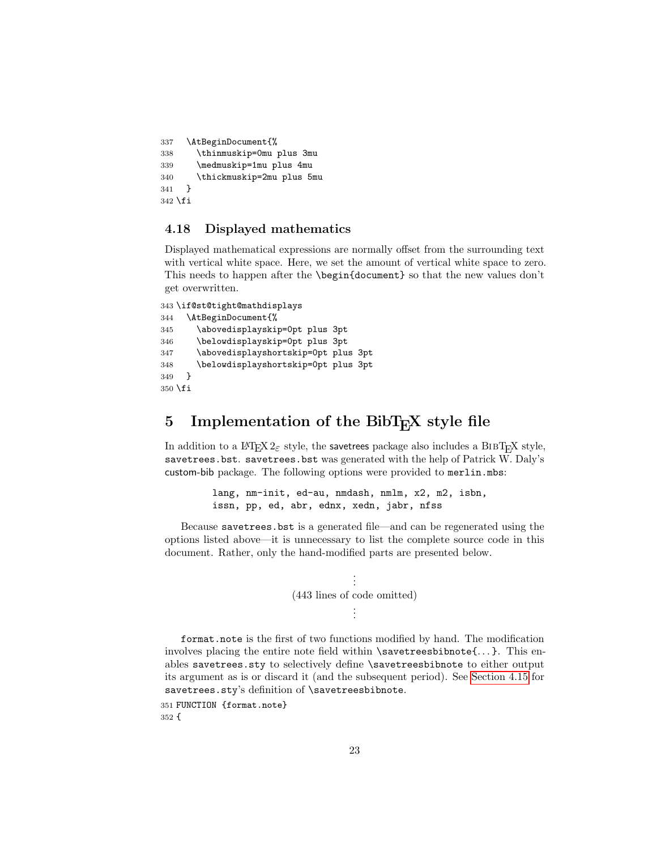```
337 \AtBeginDocument{%
338 \thinmuskip=0mu plus 3mu
339 \medmuskip=1mu plus 4mu
340 \thickmuskip=2mu plus 5mu
341 }
342 \fi
```
#### 4.18 Displayed mathematics

Displayed mathematical expressions are normally offset from the surrounding text with vertical white space. Here, we set the amount of vertical white space to zero. This needs to happen after the \begin{document} so that the new values don't get overwritten.

```
343 \if@st@tight@mathdisplays
344 \AtBeginDocument{%
345 \abovedisplayskip=0pt plus 3pt
346 \belowdisplayskip=0pt plus 3pt
347 \abovedisplayshortskip=0pt plus 3pt
348 \belowdisplayshortskip=0pt plus 3pt
349 }
350 \fi
```
## <span id="page-22-0"></span>5 Implementation of the BibT<sub>E</sub>X style file

In addition to a LATEX  $2\varepsilon$  style, the savetrees package also includes a BIBTEX style, savetrees.bst. savetrees.bst was generated with the help of Patrick W. Daly's custom-bib package. The following options were provided to merlin.mbs:

> lang, nm-init, ed-au, nmdash, nmlm, x2, m2, isbn, issn, pp, ed, abr, ednx, xedn, jabr, nfss

Because savetrees.bst is a generated file—and can be regenerated using the options listed above—it is unnecessary to list the complete source code in this document. Rather, only the hand-modified parts are presented below.



format.note is the first of two functions modified by hand. The modification involves placing the entire note field within \savetreesbibnote{...}. This enables savetrees.sty to selectively define \savetreesbibnote to either output its argument as is or discard it (and the subsequent period). See [Section 4.15](#page-21-0) for savetrees.sty's definition of \savetreesbibnote.

351 FUNCTION {format.note} 352 {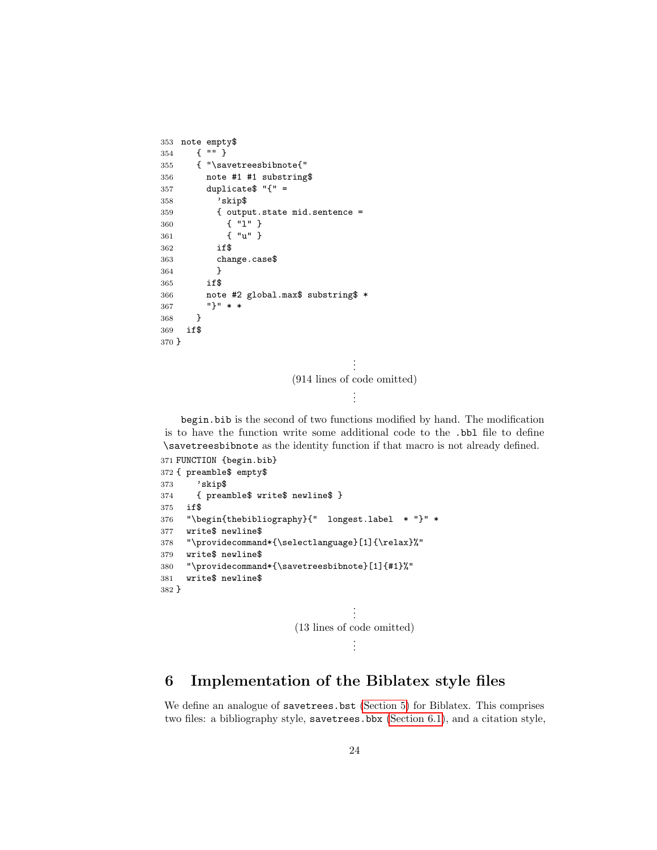```
353 note empty$
354 { "" }
355 { "\savetreesbibnote{"
356 note #1 #1 substring$
357 duplicate \sqrt[8]{"} =
358 'skip$
359 { output.state mid.sentence =
360 { "l" }
361 { "u" }
362 if$
363 change.case$
364 }
365 if$
366 note #2 global.max$ substring$ *
367 "}" * *
368 }
369 if$
370 }
                                .
                                .
                                .
                     (914 lines of code omitted)
                                .
                                .
                                .
```
begin.bib is the second of two functions modified by hand. The modification is to have the function write some additional code to the .bbl file to define \savetreesbibnote as the identity function if that macro is not already defined.

```
371 FUNCTION {begin.bib}
372 { preamble$ empty$
373 'skip$
374 { preamble$ write$ newline$ }
375 if$
376 "\begin{thebibliography}{" longest.label * "}" *
377 write$ newline$
378 "\providecommand*{\selectlanguage}[1]{\relax}%"
379 write$ newline$
380 "\providecommand*{\savetreesbibnote}[1]{#1}%"
381 write$ newline$
382 }
                                       .
                                       .
                                       .
                           (13 lines of code omitted)
                                       .
                                       .
                                       .
```
# 6 Implementation of the Biblatex style files

We define an analogue of savetrees.bst [\(Section 5\)](#page-22-0) for Biblatex. This comprises two files: a bibliography style, savetrees.bbx [\(Section 6.1\)](#page-24-0), and a citation style,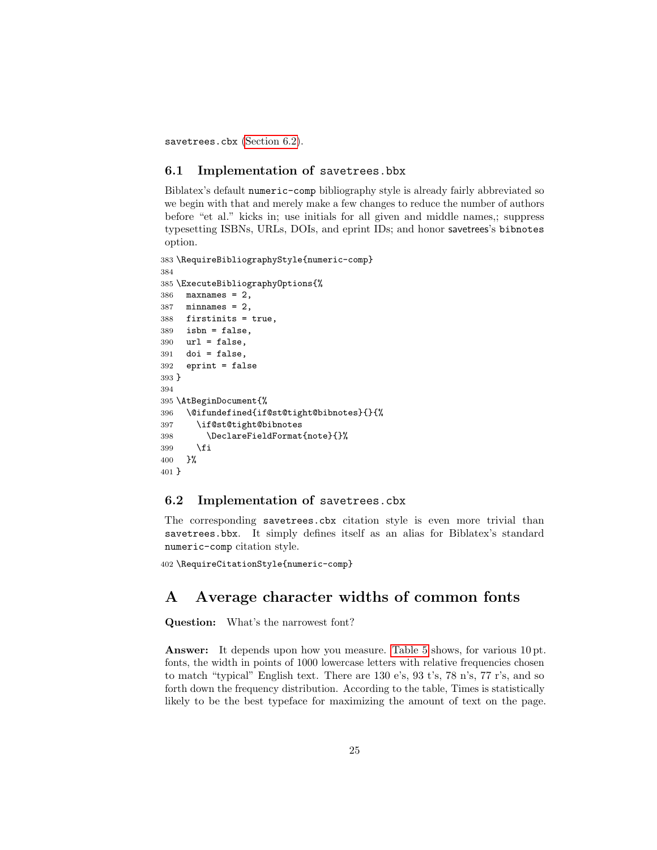savetrees.cbx [\(Section 6.2\)](#page-24-1).

#### <span id="page-24-0"></span>6.1 Implementation of savetrees.bbx

Biblatex's default numeric-comp bibliography style is already fairly abbreviated so we begin with that and merely make a few changes to reduce the number of authors before "et al." kicks in; use initials for all given and middle names,; suppress typesetting ISBNs, URLs, DOIs, and eprint IDs; and honor savetrees's bibnotes option.

```
383 \RequireBibliographyStyle{numeric-comp}
384
385 \ExecuteBibliographyOptions{%
386 maxnames = 2,
387 minnames = 2,
388 firstinits = true,
389 isbn = false,
390 url = false,
391 doi = false,
392 eprint = false
393 }
394
395 \AtBeginDocument{%
396 \@ifundefined{if@st@tight@bibnotes}{}{%
397 \if@st@tight@bibnotes
398 \DeclareFieldFormat{note}{}%
399 \fi
400 }%
401 }
```
#### <span id="page-24-1"></span>6.2 Implementation of savetrees.cbx

The corresponding savetrees.cbx citation style is even more trivial than savetrees.bbx. It simply defines itself as an alias for Biblatex's standard numeric-comp citation style.

```
402 \RequireCitationStyle{numeric-comp}
```
## A Average character widths of common fonts

Question: What's the narrowest font?

Answer: It depends upon how you measure. [Table 5](#page-25-1) shows, for various 10 pt. fonts, the width in points of 1000 lowercase letters with relative frequencies chosen to match "typical" English text. There are 130 e's, 93 t's, 78 n's, 77 r's, and so forth down the frequency distribution. According to the table, Times is statistically likely to be the best typeface for maximizing the amount of text on the page.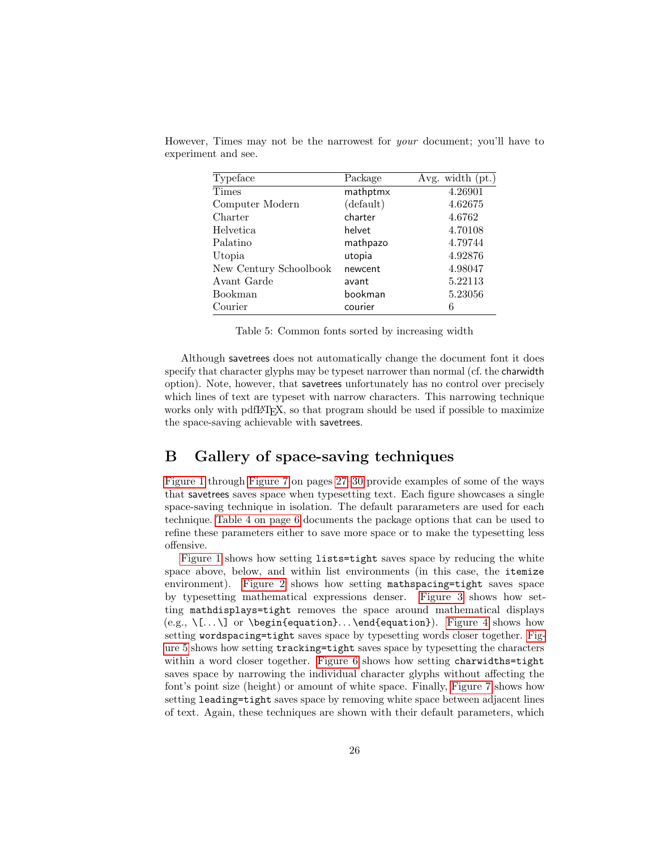| Typeface               | Package   | Avg. width $(pt.)$ |
|------------------------|-----------|--------------------|
| Times                  | mathptmx  | 4.26901            |
| Computer Modern        | (default) | 4.62675            |
| Charter                | charter   | 4.6762             |
| Helvetica              | helvet    | 4.70108            |
| Palatino               | mathpazo  | 4.79744            |
| Utopia                 | utopia    | 4.92876            |
| New Century Schoolbook | newcent   | 4.98047            |
| Avant Garde            | avant     | 5.22113            |
| Bookman                | bookman   | 5.23056            |
| Courier                | courier   | 6                  |

<span id="page-25-1"></span>However, Times may not be the narrowest for your document; you'll have to experiment and see.

Table 5: Common fonts sorted by increasing width

Although savetrees does not automatically change the document font it does specify that character glyphs may be typeset narrower than normal (cf. the charwidth option). Note, however, that savetrees unfortunately has no control over precisely which lines of text are typeset with narrow characters. This narrowing technique works only with pdfLATEX, so that program should be used if possible to maximize the space-saving achievable with savetrees.

### <span id="page-25-0"></span>B Gallery of space-saving techniques

[Figure 1](#page-26-0) through [Figure 7](#page-29-0) on pages [27](#page-26-0)[–30](#page-29-0) provide examples of some of the ways that savetrees saves space when typesetting text. Each figure showcases a single space-saving technique in isolation. The default pararameters are used for each technique. [Table 4 on page 6](#page-5-0) documents the package options that can be used to refine these parameters either to save more space or to make the typesetting less offensive.

[Figure 1](#page-26-0) shows how setting lists=tight saves space by reducing the white space above, below, and within list environments (in this case, the itemize environment). [Figure 2](#page-26-1) shows how setting mathspacing=tight saves space by typesetting mathematical expressions denser. [Figure 3](#page-27-0) shows how setting mathdisplays=tight removes the space around mathematical displays  $(e.g., \ \lceil \ldots \rceil)$  or  $\begin{subarray}{c}$  or  $\deg$  in {equation}.  $\end{subarray}$ . [Figure 4](#page-27-1) shows how setting wordspacing=tight saves space by typesetting words closer together. [Fig](#page-28-0)[ure 5](#page-28-0) shows how setting tracking=tight saves space by typesetting the characters within a word closer together. [Figure 6](#page-28-1) shows how setting charwidths=tight saves space by narrowing the individual character glyphs without affecting the font's point size (height) or amount of white space. Finally, [Figure 7](#page-29-0) shows how setting leading=tight saves space by removing white space between adjacent lines of text. Again, these techniques are shown with their default parameters, which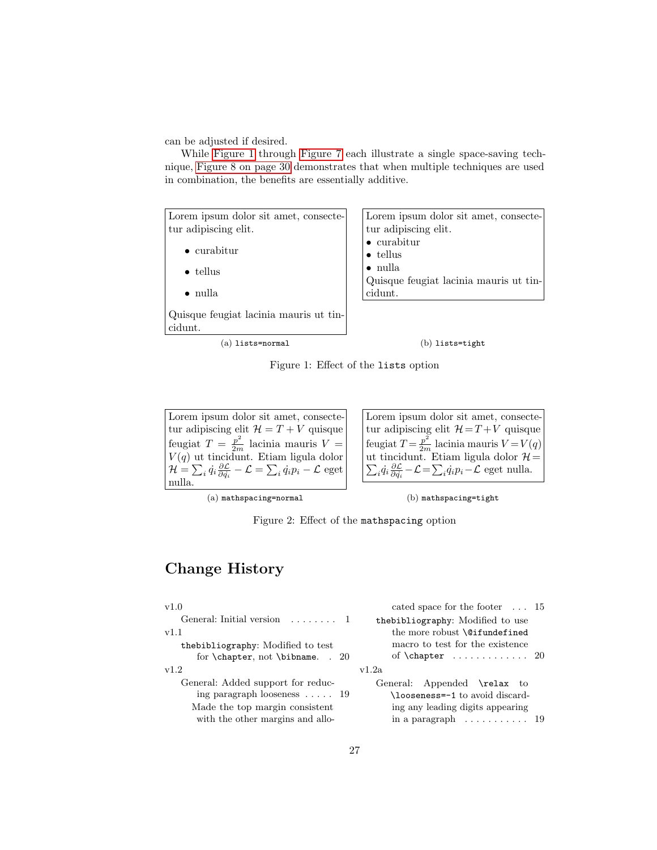can be adjusted if desired.

While [Figure 1](#page-26-0) through [Figure 7](#page-29-0) each illustrate a single space-saving technique, [Figure 8 on page 30](#page-29-1) demonstrates that when multiple techniques are used in combination, the benefits are essentially additive.

<span id="page-26-0"></span>

Figure 1: Effect of the lists option

<span id="page-26-1"></span>Lorem ipsum dolor sit amet, consectetur adipiscing elit  $\mathcal{H} = T + V$  quisque feugiat  $T = \frac{p^2}{2m}$  lacinia mauris  $V =$  $V(q)$  ut tincidunt. Etiam ligula dolor  ${\cal H}=\sum_i\dot{q}_i\frac{\partial {\cal L}}{\partial \dot{q}_i}-{\cal L}=\sum_i\dot{q}_ip_i-{\cal L}$  eget nulla.

Lorem ipsum dolor sit amet, consectetur adipiscing elit  $\mathcal{H} = T + V$  quisque feugiat  $T = \frac{p^2}{2m}$  lacinia mauris  $V = V(q)$ ut tincidunt. Etiam ligula dolor P  $\mathcal{H}$  $_i \dot{q}_i \frac{\partial \mathcal{L}}{\partial \dot{q}_i} - \mathcal{L} = \sum_i \dot{q}_i p_i - \mathcal{L}$  eget nulla.

(a) mathspacing=normal

(b) mathspacing=tight



## Change History

| v1.0                                               | cated space for the footer $\dots$ 15       |
|----------------------------------------------------|---------------------------------------------|
| General: Initial version $\dots \dots 1$           | thebibliography: Modified to use            |
| v1.1                                               | the more robust <b>\@ifundefined</b>        |
| the bibliography: Modified to test                 | macro to test for the existence             |
| for $\text{other}, \text{not } \text{bihname}.$ 20 | of $\char`>chapter \ldots \ldots \ldots 20$ |
| v1.2                                               | v1.2a                                       |
| General: Added support for reduc-                  | General: Appended \relax to                 |
| ing paragraph looseness $\ldots$ 19                | \looseness=-1 to avoid discard-             |
| Made the top margin consistent                     | ing any leading digits appearing            |
| with the other margins and allo-                   | in a paragraph $\dots \dots \dots \dots 19$ |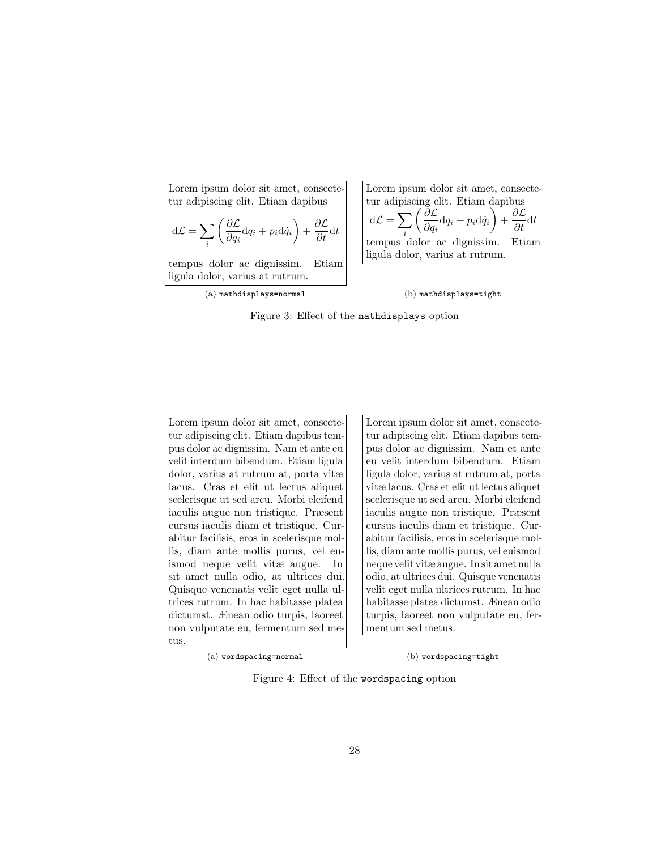<span id="page-27-0"></span>Lorem ipsum dolor sit amet, consectetur adipiscing elit. Etiam dapibus  $d\mathcal{L} = \sum$ i  $\int$ ∂ $\mathcal{L}$  $\frac{\partial \mathcal{L}}{\partial q_i}{\rm d} q_i + p_i {\rm d} \dot{q}_i\bigg) + \frac{\partial \mathcal{L}}{\partial t} {\rm d} t$ tempus dolor ac dignissim. Etiam

ligula dolor, varius at rutrum. (a) mathdisplays=normal

Lorem ipsum dolor sit amet, consectetur adipiscing elit. Etiam dapibus  $d\mathcal{L} = \sum$ i  $\theta$  $\frac{\partial \mathcal{L}}{\partial q_i}{\rm d} q_i + p_i{\rm d} \dot{q}_i\bigg) + \frac{\partial \mathcal{L}}{\partial t}{\rm d} t$ tempus dolor ac dignissim. Etiam ligula dolor, varius at rutrum.

(b) mathdisplays=tight

Figure 3: Effect of the mathdisplays option

<span id="page-27-1"></span>Lorem ipsum dolor sit amet, consectetur adipiscing elit. Etiam dapibus tempus dolor ac dignissim. Nam et ante eu velit interdum bibendum. Etiam ligula dolor, varius at rutrum at, porta vitæ lacus. Cras et elit ut lectus aliquet scelerisque ut sed arcu. Morbi eleifend iaculis augue non tristique. Præsent cursus iaculis diam et tristique. Curabitur facilisis, eros in scelerisque mollis, diam ante mollis purus, vel euismod neque velit vitæ augue. In sit amet nulla odio, at ultrices dui. Quisque venenatis velit eget nulla ultrices rutrum. In hac habitasse platea dictumst. Ænean odio turpis, laoreet non vulputate eu, fermentum sed metus.

Lorem ipsum dolor sit amet, consectetur adipiscing elit. Etiam dapibus tempus dolor ac dignissim. Nam et ante eu velit interdum bibendum. Etiam ligula dolor, varius at rutrum at, porta vitæ lacus. Cras et elit ut lectus aliquet scelerisque ut sed arcu. Morbi eleifend iaculis augue non tristique. Præsent cursus iaculis diam et tristique. Curabitur facilisis, eros in scelerisque mollis, diam ante mollis purus, vel euismod neque velit vitæ augue. In sit amet nulla odio, at ultrices dui. Quisque venenatis velit eget nulla ultrices rutrum. In hac habitasse platea dictumst. Ænean odio turpis, laoreet non vulputate eu, fermentum sed metus.

(a) wordspacing=normal

(b) wordspacing=tight

Figure 4: Effect of the wordspacing option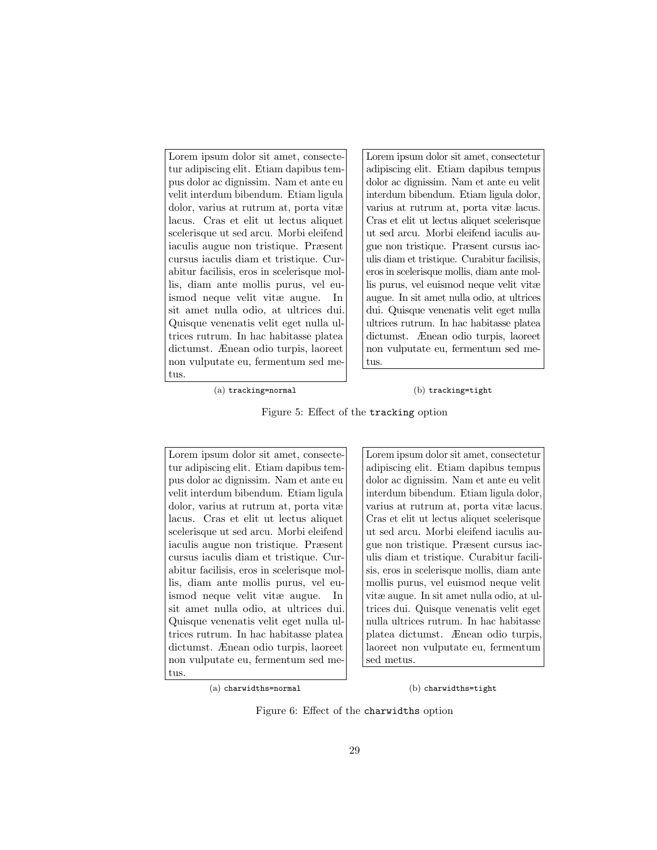<span id="page-28-0"></span>Lorem ipsum dolor sit amet, consectetur adipiscing elit. Etiam dapibus tempus dolor ac dignissim. Nam et ante eu velit interdum bibendum. Etiam ligula dolor, varius at rutrum at, porta vitæ lacus. Cras et elit ut lectus aliquet scelerisque ut sed arcu. Morbi eleifend iaculis augue non tristique. Præsent cursus iaculis diam et tristique. Curabitur facilisis, eros in scelerisque mollis, diam ante mollis purus, vel euismod neque velit vitæ augue. In sit amet nulla odio, at ultrices dui. Quisque venenatis velit eget nulla ultrices rutrum. In hac habitasse platea dictumst. Ænean odio turpis, laoreet non vulputate eu, fermentum sed metus.

Lorem ipsum dolor sit amet, consectetur adipiscing elit. Etiam dapibus tempus dolor ac dignissim. Nam et ante eu velit interdum bibendum. Etiam ligula dolor, varius at rutrum at, porta vitæ lacus. Cras et elit ut lectus aliquet scelerisque ut sed arcu. Morbi eleifend iaculis augue non tristique. Præsent cursus iaculis diam et tristique. Curabitur facilisis, eros in scelerisque mollis, diam ante mollis purus, vel euismod neque velit vitæ augue. In sit amet nulla odio, at ultrices dui. Quisque venenatis velit eget nulla ultrices rutrum. In hac habitasse platea dictumst. Ænean odio turpis, laoreet non vulputate eu, fermentum sed metus.

(a) tracking=normal

(b) tracking=tight

Figure 5: Effect of the tracking option

<span id="page-28-1"></span>Lorem ipsum dolor sit amet, consectetur adipiscing elit. Etiam dapibus tempus dolor ac dignissim. Nam et ante eu velit interdum bibendum. Etiam ligula dolor, varius at rutrum at, porta vitæ lacus. Cras et elit ut lectus aliquet scelerisque ut sed arcu. Morbi eleifend iaculis augue non tristique. Præsent cursus iaculis diam et tristique. Curabitur facilisis, eros in scelerisque mollis, diam ante mollis purus, vel euismod neque velit vitæ augue. In sit amet nulla odio, at ultrices dui. Quisque venenatis velit eget nulla ultrices rutrum. In hac habitasse platea dictumst. Ænean odio turpis, laoreet non vulputate eu, fermentum sed metus.

Lorem ipsum dolor sit amet, consectetur adipiscing elit. Etiam dapibus tempus dolor ac dignissim. Nam et ante eu velit interdum bibendum. Etiam ligula dolor, varius at rutrum at, porta vitæ lacus. Cras et elit ut lectus aliquet scelerisque ut sed arcu. Morbi eleifend iaculis augue non tristique. Præsent cursus iaculis diam et tristique. Curabitur facilisis, eros in scelerisque mollis, diam ante mollis purus, vel euismod neque velit vitæ augue. In sit amet nulla odio, at ultrices dui. Quisque venenatis velit eget nulla ultrices rutrum. In hac habitasse platea dictumst. Ænean odio turpis, laoreet non vulputate eu, fermentum sed metus.

(a) charwidths=normal

#### (b) charwidths=tight

Figure 6: Effect of the charwidths option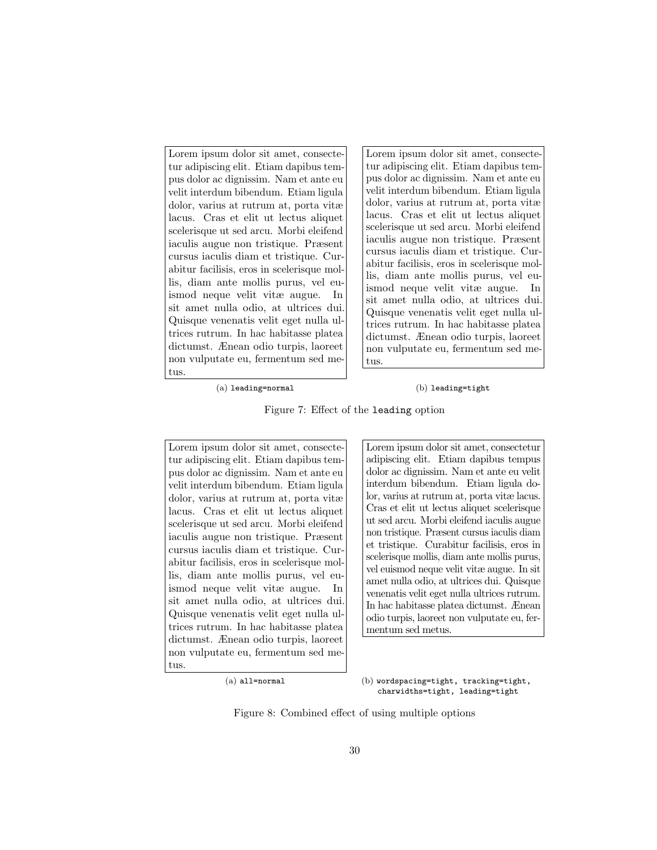<span id="page-29-0"></span>Lorem ipsum dolor sit amet, consectetur adipiscing elit. Etiam dapibus tempus dolor ac dignissim. Nam et ante eu velit interdum bibendum. Etiam ligula dolor, varius at rutrum at, porta vitæ lacus. Cras et elit ut lectus aliquet scelerisque ut sed arcu. Morbi eleifend iaculis augue non tristique. Præsent cursus iaculis diam et tristique. Curabitur facilisis, eros in scelerisque mollis, diam ante mollis purus, vel euismod neque velit vitæ augue. In sit amet nulla odio, at ultrices dui. Quisque venenatis velit eget nulla ultrices rutrum. In hac habitasse platea dictumst. Ænean odio turpis, laoreet non vulputate eu, fermentum sed metus.

Lorem ipsum dolor sit amet, consectetur adipiscing elit. Etiam dapibus tempus dolor ac dignissim. Nam et ante eu velit interdum bibendum. Etiam ligula dolor, varius at rutrum at, porta vitæ lacus. Cras et elit ut lectus aliquet scelerisque ut sed arcu. Morbi eleifend iaculis augue non tristique. Præsent cursus iaculis diam et tristique. Curabitur facilisis, eros in scelerisque mollis, diam ante mollis purus, vel euismod neque velit vitæ augue. In sit amet nulla odio, at ultrices dui. Quisque venenatis velit eget nulla ultrices rutrum. In hac habitasse platea dictumst. Ænean odio turpis, laoreet non vulputate eu, fermentum sed metus.

(a) leading=normal

#### (b) leading=tight

Figure 7: Effect of the leading option

<span id="page-29-1"></span>Lorem ipsum dolor sit amet, consectetur adipiscing elit. Etiam dapibus tempus dolor ac dignissim. Nam et ante eu velit interdum bibendum. Etiam ligula dolor, varius at rutrum at, porta vitæ lacus. Cras et elit ut lectus aliquet scelerisque ut sed arcu. Morbi eleifend iaculis augue non tristique. Præsent cursus iaculis diam et tristique. Curabitur facilisis, eros in scelerisque mollis, diam ante mollis purus, vel euismod neque velit vitæ augue. In sit amet nulla odio, at ultrices dui. Quisque venenatis velit eget nulla ultrices rutrum. In hac habitasse platea dictumst. Ænean odio turpis, laoreet non vulputate eu, fermentum sed metus.

Lorem ipsum dolor sit amet, consectetur adipiscing elit. Etiam dapibus tempus dolor ac dignissim. Nam et ante eu velit interdum bibendum. Etiam ligula dolor, varius at rutrum at, porta vitæ lacus. Cras et elit ut lectus aliquet scelerisque ut sed arcu. Morbi eleifend iaculis augue non tristique. Præsent cursus iaculis diam et tristique. Curabitur facilisis, eros in scelerisque mollis, diam ante mollis purus, vel euismod neque velit vitæ augue. In sit amet nulla odio, at ultrices dui. Quisque venenatis velit eget nulla ultrices rutrum. In hac habitasse platea dictumst. Ænean odio turpis, laoreet non vulputate eu, fermentum sed metus.

(b) wordspacing=tight, tracking=tight, charwidths=tight, leading=tight

Figure 8: Combined effect of using multiple options

<sup>(</sup>a) all=normal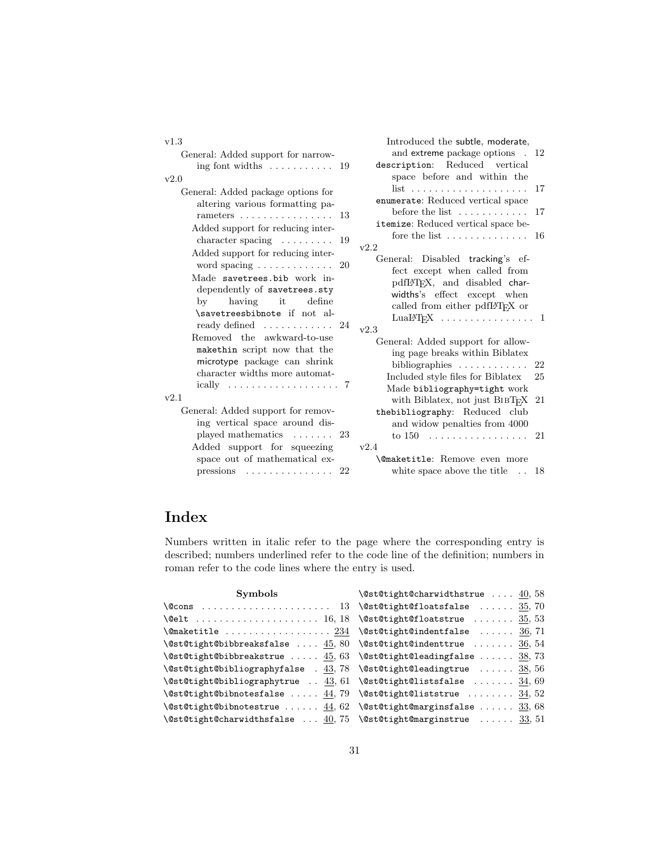| v1.3                                                                                                                                                                                                                                                                                                 | Introduced the subtle, moderate,                                                                                                                                                                                                                                       |
|------------------------------------------------------------------------------------------------------------------------------------------------------------------------------------------------------------------------------------------------------------------------------------------------------|------------------------------------------------------------------------------------------------------------------------------------------------------------------------------------------------------------------------------------------------------------------------|
| General: Added support for narrow-                                                                                                                                                                                                                                                                   | and extreme package options . 12                                                                                                                                                                                                                                       |
| ing font widths $\dots \dots \dots \dots \dots$ 19                                                                                                                                                                                                                                                   | description: Reduced vertical                                                                                                                                                                                                                                          |
| v2.0                                                                                                                                                                                                                                                                                                 | space before and within the                                                                                                                                                                                                                                            |
| General: Added package options for<br>altering various formatting pa-<br>rameters $\dots \dots \dots \dots \dots \dots 13$<br>Added support for reducing inter-<br>character spacing $\ldots \ldots \ldots$ 19<br>Added support for reducing inter-<br>word spacing $\ldots \ldots \ldots \ldots 20$ | list<br>17<br>enumerate: Reduced vertical space<br>before the list $\dots \dots \dots \dots 17$<br>itemize: Reduced vertical space be-<br>fore the list $\dots \dots \dots \dots \dots 16$<br>v2.2<br>General: Disabled tracking's ef-<br>fect except when called from |
| Made savetrees bib work in-<br>dependently of savetrees.sty<br>by<br>having it<br>define<br>\savetreesbibnote if not al-<br>ready defined $\ldots \ldots \ldots 24$                                                                                                                                  | pdfIATFX, and disabled char-<br>widths's effect except when<br>called from either pdfIATFX or<br>$LuaLFT$ <sub>F</sub> X 1<br>v2.3                                                                                                                                     |
| Removed the awkward-to-use<br>makethin script now that the<br>microtype package can shrink<br>character widths more automat-<br>ically $\ldots \ldots \ldots \ldots \ldots \ldots 7$                                                                                                                 | General: Added support for allow-<br>ing page breaks within Biblatex<br>bibliographies $\ldots \ldots \ldots$<br>22<br>Included style files for Biblatex<br>25<br>Made bibliography=tight work                                                                         |
| v2.1<br>General: Added support for remov-<br>ing vertical space around dis-<br>played mathematics $\dots \dots$<br>23                                                                                                                                                                                | with Biblatex, not just $BIBT_FX$ 21<br>thebibliography: Reduced club<br>and widow penalties from 4000<br>to $150$<br>21                                                                                                                                               |
| Added support for squeezing                                                                                                                                                                                                                                                                          | v2.4                                                                                                                                                                                                                                                                   |
| space out of mathematical ex-                                                                                                                                                                                                                                                                        | <b>\@maketitle:</b> Remove even more                                                                                                                                                                                                                                   |
| $presisions \ldots \ldots \ldots \ldots$<br>22                                                                                                                                                                                                                                                       | white space above the title $\ldots$<br>18                                                                                                                                                                                                                             |

# Index

Numbers written in italic refer to the page where the corresponding entry is described; numbers underlined refer to the code line of the definition; numbers in roman refer to the code lines where the entry is used.

| Symbols | $\setminus$ @st@tight@charwidthstrue  40,58                                                              |
|---------|----------------------------------------------------------------------------------------------------------|
|         |                                                                                                          |
|         | \@elt  16,18 \@st@tight@floatstrue $35,53$                                                               |
|         | $\texttt{\&\mathcal{S}}, 71$                                                                             |
|         | $\texttt{{\char'134}^\@st@bibbreak }$ reaksfalse $45,80$ $\texttt{{\char'134}^\@st@tindenttrue}$ $36,54$ |
|         | $\texttt{Qst@tight@bibbreakstrue  45, 63 } \texttt{Qst@tight@leadingfalse  38, 73}$                      |
|         | $\texttt{Qst@tight@bibliographyfalse}$ . 43, 78 $\texttt{Qt@dt@leadingtrue}$ 38, 56                      |
|         | \@st@tight@bibliographytrue $\underline{43}$ , 61 \@st@tight@listsfalse $\underline{34}$ , 69            |
|         | $\texttt{Qst@tight@bibnotesfalse}$ 44,79 $\texttt{Qst@tight@liststrue}$ 34,52                            |
|         | $\texttt{Qst@tight@bibnotextrue   44, 62 } \texttt{Qst@tight@marginsfalse   33, 68}$                     |
|         | \@st@tight@charwidthsfalse $\underline{40}$ , 75 \@st@tight@marginstrue  33, 51                          |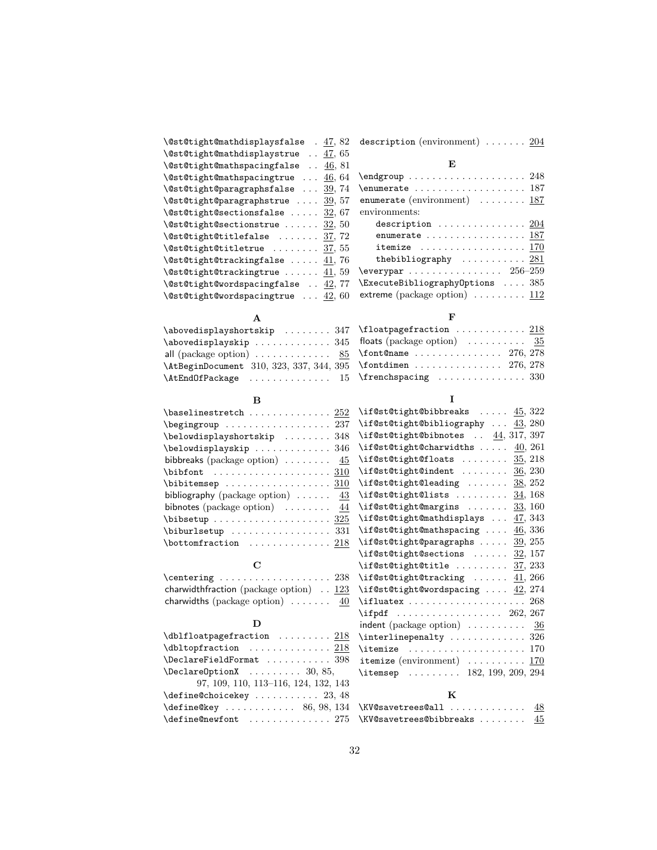| $\texttt{\texttt{QstC}tight@math display="inline">\texttt{Cmathdisplaysfalse}}$ . 47,82 | description (environment) $\ldots \ldots \ldots 204$                                 |
|-----------------------------------------------------------------------------------------|--------------------------------------------------------------------------------------|
| $\text{Qst@tight@mathdisplaystrue}$ 47, 65                                              |                                                                                      |
| $\setminus$ @st@tight@mathspacingfalse  46, 81                                          | E                                                                                    |
| $\text{Qst@tight@mathspacingtrue}$ 46, 64                                               |                                                                                      |
| $\text{Qst@tight@paragraphsfalse}$ 39, 74                                               | $\text{enumerate} \dots \dots \dots \dots \dots \dots \dots \dots \dots \dots \dots$ |
| $\text{Qst@tight@paragraphstrue} \dots \underline{39}, 57$                              | enumerate (environment) $\ldots \ldots \ldots 187$                                   |
| $\setminus$ @st@tight@sectionsfalse  32, 67                                             | environments:                                                                        |
| $\setminus$ @st@tight@sectionstrue $32, 50$                                             | description $204$                                                                    |
| $\setminus$ @st@tight@titlefalse $37, 72$                                               | enumerate  187                                                                       |
| $\setminus$ @st@tight@titletrue $37,55$                                                 | itemize $\ldots \ldots \ldots \ldots \ldots \ldots 170$                              |
| $\text{Qst@tight@trackingfalse}$ 41,76                                                  | the bibliography $\ldots \ldots \ldots 281$                                          |
| $\setminus$ @st@tight@trackingtrue  41, 59                                              | \everypar $\ldots \ldots \ldots \ldots \ldots \ 256\text{--}259$                     |
| $\setminus$ @st@tight@wordspacingfalse $42, 77$                                         | $\text{ExecuteBibliography}$ Options  385                                            |
| $\setminus$ @st@tight@wordspacingtrue $42,60$                                           |                                                                                      |
|                                                                                         |                                                                                      |

### A

| \abovedisplayshortskip  347 \floatpagefraction $218$                                            |  |
|-------------------------------------------------------------------------------------------------|--|
| \abovedisplayskip 345 floats (package option) $\ldots \ldots \ldots$ 35                         |  |
| all (package option) $\dots \dots \dots \dots$ 85 \font@name $\dots \dots \dots \dots$ 276, 278 |  |
|                                                                                                 |  |
| \AtEndOfPackage  15 \frenchspacing  330                                                         |  |

#### $\, {\bf B}$

| $\verb+\baselines  tch \dots \dots 252$                    |  |
|------------------------------------------------------------|--|
| \begingroup  237                                           |  |
| $\verb+\belowdisplay+ bortskip + \ldots + 348$             |  |
| \belowdisplayskip  346                                     |  |
| bibbreaks (package option) $\ldots \ldots \frac{45}{2}$    |  |
|                                                            |  |
|                                                            |  |
| bibliography (package option) $\ldots \ldots$ 43           |  |
| bibnotes (package option) $\ldots \ldots \ldots$ 44        |  |
|                                                            |  |
| $\big\{\n  bitburlsetup \ldots \ldots \ldots \quad 331\n $ |  |
| $\hbox{\tt bottomfraction}$ 218                            |  |

#### C

| $\centerdot$ $\centerdot$ $\centerdot$ $\centerdot$ $\centerdot$ $\centerdot$ $\centerdot$ $\centerdot$ $\centerdot$ $\centerdot$ $\centerdot$ $\centerdot$ $\centerdot$ $\centerdot$ $\centerdot$ $\centerdot$ $\centerdot$ $\centerdot$ $\centerdot$ $\centerdot$ $\centerdot$ $\centerdot$ $\centerdot$ $\centerdot$ $\centerdot$ $\centerdot$ $\centerdot$ $\centerdot$ $\centerdot$ $\centerdot$ $\centerdot$ $\centerdot$ $\centerdot$ $\centerdot$ $\centerdot$ $\centerdot$ $\centerdot$ |  |
|--------------------------------------------------------------------------------------------------------------------------------------------------------------------------------------------------------------------------------------------------------------------------------------------------------------------------------------------------------------------------------------------------------------------------------------------------------------------------------------------------|--|
| charwidthfraction (package option) $\ldots$ 123                                                                                                                                                                                                                                                                                                                                                                                                                                                  |  |
| charwidths (package option) $\ldots \ldots$ 40                                                                                                                                                                                                                                                                                                                                                                                                                                                   |  |

#### $\mathbf D$

| $\Delta$ PeclareFieldFormat 398                          |  |
|----------------------------------------------------------|--|
| $\Delta$ PeclareOptionX  30, 85,                         |  |
| 97, 109, 110, 113-116, 124, 132, 143                     |  |
| $\{define@choicekey \dots \dots \dots \ 23, 48\}$        |  |
| $\{\text{define@key } \dots \dots \dots \ 86, 98, 134\}$ |  |
| $\text{define@newfont} \dots \dots \dots \dots \ 275$    |  |

#### I

F

| $\iint@st@tight@bibbreaks$ $\underline{45}$ , $322$                                                                                                                                                                                                                                                                                                                                                                                                                                                                                                                   |                 |
|-----------------------------------------------------------------------------------------------------------------------------------------------------------------------------------------------------------------------------------------------------------------------------------------------------------------------------------------------------------------------------------------------------------------------------------------------------------------------------------------------------------------------------------------------------------------------|-----------------|
| \if@st@tight@bibliography  43, 280                                                                                                                                                                                                                                                                                                                                                                                                                                                                                                                                    |                 |
| \if@st@tight@bibnotes $\ldots$ $\underline{44}$ , 317, 397                                                                                                                                                                                                                                                                                                                                                                                                                                                                                                            |                 |
| \if@st@tight@charwidths $40, 261$                                                                                                                                                                                                                                                                                                                                                                                                                                                                                                                                     |                 |
| $\iint@st@tightharpoonup floats$ $\underline{35}$ , 218                                                                                                                                                                                                                                                                                                                                                                                                                                                                                                               |                 |
| $\iint@st@tigh@indent   36, 230$                                                                                                                                                                                                                                                                                                                                                                                                                                                                                                                                      |                 |
| \if@st@tight@leading $38, 252$                                                                                                                                                                                                                                                                                                                                                                                                                                                                                                                                        |                 |
| $\left\{\text{distAtightClass}\dots\right\}$ 34, 168                                                                                                                                                                                                                                                                                                                                                                                                                                                                                                                  |                 |
| $\iint$ est@tight@margins  33, 160                                                                                                                                                                                                                                                                                                                                                                                                                                                                                                                                    |                 |
| \if@st@tight@mathdisplays  47, 343                                                                                                                                                                                                                                                                                                                                                                                                                                                                                                                                    |                 |
| \if@st@tight@mathspacing $46,336$                                                                                                                                                                                                                                                                                                                                                                                                                                                                                                                                     |                 |
| $\iint@st@tight@paragraphs \ldots 39, 255$                                                                                                                                                                                                                                                                                                                                                                                                                                                                                                                            |                 |
| $\left\{ \right\}$ $\ldots$ $\frac{32}{157}$                                                                                                                                                                                                                                                                                                                                                                                                                                                                                                                          |                 |
| $\iint@st@tightharpoonup" 1$ 37, 233                                                                                                                                                                                                                                                                                                                                                                                                                                                                                                                                  |                 |
| \if@st@tight@tracking $\underline{41}$ , 266                                                                                                                                                                                                                                                                                                                                                                                                                                                                                                                          |                 |
| \if@st@tight@wordspacing $42, 274$                                                                                                                                                                                                                                                                                                                                                                                                                                                                                                                                    |                 |
| $\left\{\text{ifluate } \dots \dots \dots \dots \dots \ 268\right\}$                                                                                                                                                                                                                                                                                                                                                                                                                                                                                                  |                 |
| $\left\{ \left( \left. \ldots \right) \ldots \right. \left. \ldots \right. \left. \left. \right. \left. \right. \right. \left. \left. \right. \right. \left. \right. \right. \left. \right. \right. \left. \left. \right. \right. \left. \right. \left. \right. \right. \left. \left. \right. \right. \left. \left. \right. \right. \left. \left. \right. \right. \left. \right. \left. \right. \left. \right. \left. \right. \left. \right. \left. \right. \left. \right. \left. \right. \left. \right. \left. \right. \left. \right. \right. \left. \left. \right.$ |                 |
| indent (package option) $\ldots \ldots \ldots$ 36                                                                                                                                                                                                                                                                                                                                                                                                                                                                                                                     |                 |
| $\int$ interlinepenalty  326                                                                                                                                                                                                                                                                                                                                                                                                                                                                                                                                          |                 |
| <b>\itemize</b>                                                                                                                                                                                                                                                                                                                                                                                                                                                                                                                                                       |                 |
| <b>itemize</b> (environment) $\dots\dots\dots\ 170$                                                                                                                                                                                                                                                                                                                                                                                                                                                                                                                   |                 |
| \itemsep  182, 199, 209, 294                                                                                                                                                                                                                                                                                                                                                                                                                                                                                                                                          |                 |
|                                                                                                                                                                                                                                                                                                                                                                                                                                                                                                                                                                       |                 |
| K                                                                                                                                                                                                                                                                                                                                                                                                                                                                                                                                                                     |                 |
| $VVA$ gayotroog@all                                                                                                                                                                                                                                                                                                                                                                                                                                                                                                                                                   | $\overline{AB}$ |

#### $\N$ W@savetrees@all ..............  $48$  $\N$ KV@savetrees@bibbreaks ........  $45$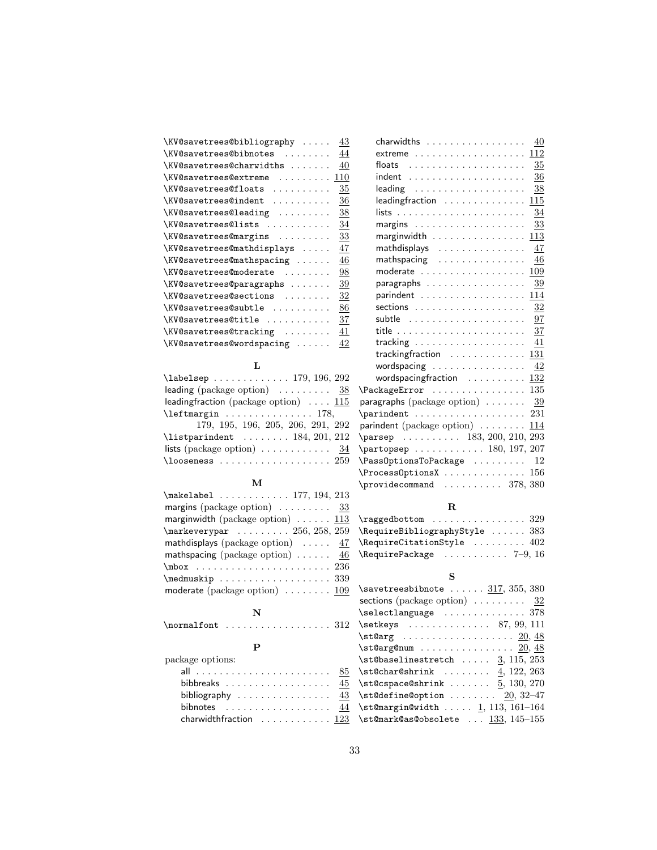| \KV@savetrees@bibliography<br>43      |
|---------------------------------------|
| \KV@savetrees@bibnotes<br>44          |
| \KV@savetrees@charwidths<br>40        |
| \KV@savetrees@extreme<br>110<br>.     |
| 35<br>\KV@savetrees@floats<br>.       |
| \KV@savetrees@indent<br>36<br>.       |
| \KV@savetrees@leading<br>38<br>$\sim$ |
| \KV@savetrees@lists<br>34<br>.        |
| \KV@savetrees@margins<br>33           |
| \KV@savetrees@mathdisplays<br>47      |
| \KV@savetrees@mathspacing<br>46       |
| \KV@savetrees@moderate<br>98          |
| \KV@savetrees@paragraphs<br>39        |
| \KV@savetrees@sections<br>32          |
| \KV@savetrees@subtle<br>86            |
| \KV@savetrees@title<br>37             |
| \KV@savetrees@tracking<br>41          |
| \KV@savetrees@wordspacing<br>42       |

### L

| $\lambda$ 292                                                |
|--------------------------------------------------------------|
| leading (package option) $\ldots \ldots \ldots$ 38           |
| leading fraction (package option) $\ldots$ 115               |
| $\left\{\text{thetrangin  \ldots  178,}\right\}$             |
| 179, 195, 196, 205, 206, 291, 292                            |
| $\text{listparindent} \dots \dots \dots \ 184, \ 201, \ 212$ |
| lists (package option) $\ldots \ldots \ldots \ldots$ 34      |
| $\lambda$ coseness  259                                      |

### M

# N

| $\{normalfont \dots \dots \dots \dots \ 312$ |  |  |  |  |  |  |  |  |  |  |  |  |  |  |  |  |  |  |  |
|----------------------------------------------|--|--|--|--|--|--|--|--|--|--|--|--|--|--|--|--|--|--|--|
|----------------------------------------------|--|--|--|--|--|--|--|--|--|--|--|--|--|--|--|--|--|--|--|

### P

| package options:                                     |  |  |  |  |
|------------------------------------------------------|--|--|--|--|
|                                                      |  |  |  |  |
| bibbreaks $\ldots \ldots \ldots \ldots \ldots$       |  |  |  |  |
| bibliography $\ldots \ldots \ldots \ldots \ldots$ 43 |  |  |  |  |
| bibnotes $\ldots \ldots \ldots \ldots \ldots$        |  |  |  |  |
| charwidthfraction $\ldots \ldots \ldots 123$         |  |  |  |  |

| $charwidths$                                                                                                                                                                                                                                                                                                                                                                       | 40             |
|------------------------------------------------------------------------------------------------------------------------------------------------------------------------------------------------------------------------------------------------------------------------------------------------------------------------------------------------------------------------------------|----------------|
| extreme $\,\dots\, \dots\, \dots\, \dots\, \dots\, 112$                                                                                                                                                                                                                                                                                                                            |                |
| floats                                                                                                                                                                                                                                                                                                                                                                             | $35\,$         |
|                                                                                                                                                                                                                                                                                                                                                                                    | 36             |
| $leading \dots \dots \dots \dots \dots \dots \dots$                                                                                                                                                                                                                                                                                                                                | $\frac{38}{5}$ |
| leading fraction                                                                                                                                                                                                                                                                                                                                                                   | 115            |
|                                                                                                                                                                                                                                                                                                                                                                                    | 34             |
|                                                                                                                                                                                                                                                                                                                                                                                    | 33             |
|                                                                                                                                                                                                                                                                                                                                                                                    | 113            |
| mathdisplays                                                                                                                                                                                                                                                                                                                                                                       | 47             |
| mathspacing                                                                                                                                                                                                                                                                                                                                                                        | 46             |
| moderate                                                                                                                                                                                                                                                                                                                                                                           | 109            |
| paragraphs $\ldots \ldots \ldots \ldots \ldots$                                                                                                                                                                                                                                                                                                                                    | 39             |
| parindent                                                                                                                                                                                                                                                                                                                                                                          | 114            |
| sections $\ldots \ldots \ldots \ldots \ldots$                                                                                                                                                                                                                                                                                                                                      | 32             |
|                                                                                                                                                                                                                                                                                                                                                                                    | 97             |
|                                                                                                                                                                                                                                                                                                                                                                                    | 37             |
| tracking $\ldots \ldots \ldots \ldots \ldots$                                                                                                                                                                                                                                                                                                                                      | 41             |
| tracking fraction $\ldots \ldots \ldots \ldots 131$                                                                                                                                                                                                                                                                                                                                |                |
| wordspacing                                                                                                                                                                                                                                                                                                                                                                        | 42             |
| wordspacing fraction $\ldots \ldots \ldots$                                                                                                                                                                                                                                                                                                                                        | <u>132</u>     |
| \PackageError                                                                                                                                                                                                                                                                                                                                                                      | 135            |
| paragraphs (package option) $\ldots \ldots \frac{39}{2}$                                                                                                                                                                                                                                                                                                                           |                |
| $\partial$ .                                                                                                                                                                                                                                                                                                                                                                       |                |
| parindent (package option) 114                                                                                                                                                                                                                                                                                                                                                     |                |
| $\n\text{parsep} \dots \dots \dots \quad 183, 200, 210, 293$                                                                                                                                                                                                                                                                                                                       |                |
| $\{\text{partopsep} \ldots \ldots \ldots \ 180, 197, 207\}$                                                                                                                                                                                                                                                                                                                        |                |
| \Pass0ptionsToPackage                                                                                                                                                                                                                                                                                                                                                              | 12             |
| \Process0ptionsX                                                                                                                                                                                                                                                                                                                                                                   | 156            |
| $\preccurlyeq$ $\preccurlyeq$ $\preccurlyeq$ $\preccurlyeq$ $\preccurlyeq$ $\preccurlyeq$ $\preccurlyeq$ $\preccurlyeq$ $\preccurlyeq$ $\preccurlyeq$ $\preccurlyeq$ $\preccurlyeq$ $\preccurlyeq$ $\preccurlyeq$ $\preccurlyeq$ $\preccurlyeq$ $\preccurlyeq$ $\preccurlyeq$ $\preccurlyeq$ $\preccurlyeq$ $\preccurlyeq$ $\preccurlyeq$ $\preccurlyeq$ $\preccurlyeq$ $\preccur$ |                |
|                                                                                                                                                                                                                                                                                                                                                                                    |                |

# R

| $\text{ragedbottom} \dots \dots \dots \dots \ 329$ |  |
|----------------------------------------------------|--|
| \RequireBibliographyStyle  383                     |  |
| $\lambda$ RequireCitationStyle  402                |  |
| $\lambda$ RequirePackage  7-9, 16                  |  |

# S

| $\simeq$ \savetreesbibnote $317, 355, 380$          |
|-----------------------------------------------------|
| sections (package option) $\ldots \ldots \ldots$ 32 |
| \selectlanguage  378                                |
| $\setminus$ setkeys  87, 99, 111                    |
|                                                     |
| $\setminus$ st@arg@num  20, 48                      |
| $\setminus$ st@baselinestretch  3, 115, 253         |
| $\setminus$ st@char@shrink  4, 122, 263             |
| $\setminus$ st@cspace@shrink  5, 130, 270           |
| $\setminus$ st@define@option  20, 32-47             |
| $\setminus$ st@margin@width  1, 113, 161-164        |
| $\setminus$ st@mark@as@obsolete $133, 145-155$      |